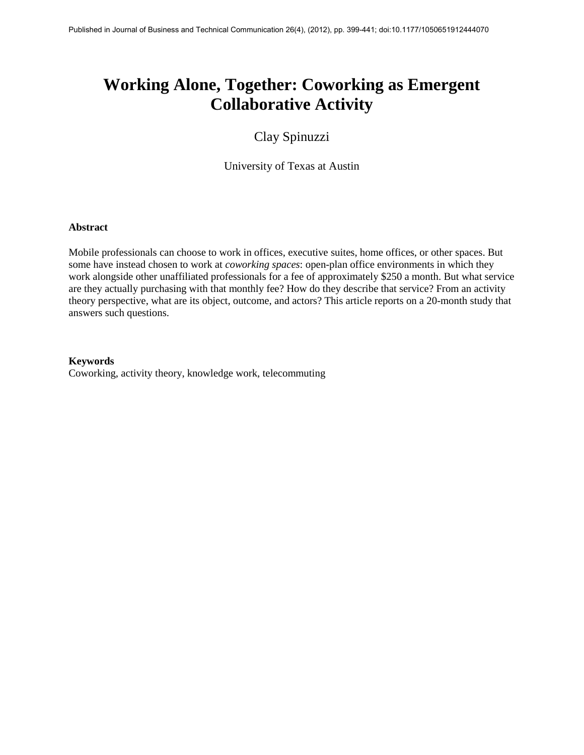# **Working Alone, Together: Coworking as Emergent Collaborative Activity**

# Clay Spinuzzi

University of Texas at Austin

# **Abstract**

Mobile professionals can choose to work in offices, executive suites, home offices, or other spaces. But some have instead chosen to work at *coworking spaces*: open-plan office environments in which they work alongside other unaffiliated professionals for a fee of approximately \$250 a month. But what service are they actually purchasing with that monthly fee? How do they describe that service? From an activity theory perspective, what are its object, outcome, and actors? This article reports on a 20-month study that answers such questions.

# **Keywords**

Coworking, activity theory, knowledge work, telecommuting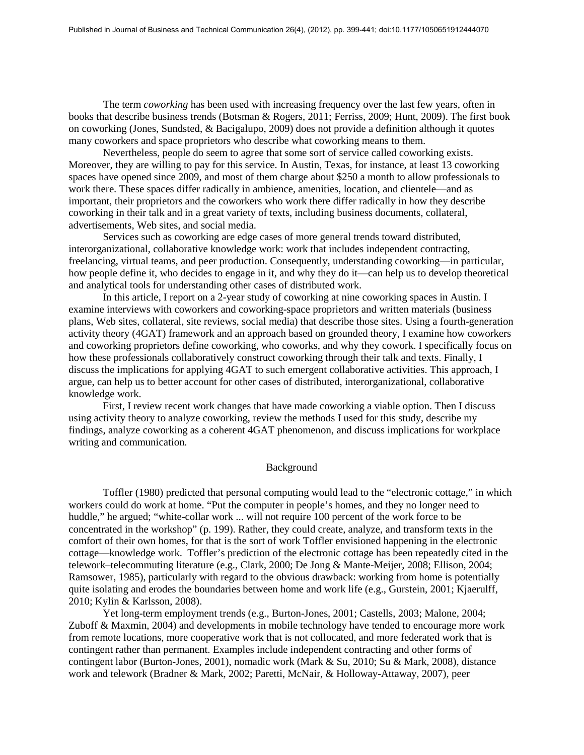The term *coworking* has been used with increasing frequency over the last few years, often in books that describe business trends (Botsman & Rogers, 2011; Ferriss, 2009; Hunt, 2009). The first book on coworking (Jones, Sundsted, & Bacigalupo, 2009) does not provide a definition although it quotes many coworkers and space proprietors who describe what coworking means to them.

Nevertheless, people do seem to agree that some sort of service called coworking exists. Moreover, they are willing to pay for this service. In Austin, Texas, for instance, at least 13 coworking spaces have opened since 2009, and most of them charge about \$250 a month to allow professionals to work there. These spaces differ radically in ambience, amenities, location, and clientele—and as important, their proprietors and the coworkers who work there differ radically in how they describe coworking in their talk and in a great variety of texts, including business documents, collateral, advertisements, Web sites, and social media.

Services such as coworking are edge cases of more general trends toward distributed, interorganizational, collaborative knowledge work: work that includes independent contracting, freelancing, virtual teams, and peer production. Consequently, understanding coworking—in particular, how people define it, who decides to engage in it, and why they do it—can help us to develop theoretical and analytical tools for understanding other cases of distributed work.

In this article, I report on a 2-year study of coworking at nine coworking spaces in Austin. I examine interviews with coworkers and coworking-space proprietors and written materials (business plans, Web sites, collateral, site reviews, social media) that describe those sites. Using a fourth-generation activity theory (4GAT) framework and an approach based on grounded theory, I examine how coworkers and coworking proprietors define coworking, who coworks, and why they cowork. I specifically focus on how these professionals collaboratively construct coworking through their talk and texts. Finally, I discuss the implications for applying 4GAT to such emergent collaborative activities. This approach, I argue, can help us to better account for other cases of distributed, interorganizational, collaborative knowledge work.

First, I review recent work changes that have made coworking a viable option. Then I discuss using activity theory to analyze coworking, review the methods I used for this study, describe my findings, analyze coworking as a coherent 4GAT phenomenon, and discuss implications for workplace writing and communication.

#### Background

Toffler (1980) predicted that personal computing would lead to the "electronic cottage," in which workers could do work at home. "Put the computer in people's homes, and they no longer need to huddle," he argued; "white-collar work ... will not require 100 percent of the work force to be concentrated in the workshop" (p. 199). Rather, they could create, analyze, and transform texts in the comfort of their own homes, for that is the sort of work Toffler envisioned happening in the electronic cottage—knowledge work. Toffler's prediction of the electronic cottage has been repeatedly cited in the telework–telecommuting literature (e.g., Clark, 2000; De Jong & Mante-Meijer, 2008; Ellison, 2004; Ramsower, 1985), particularly with regard to the obvious drawback: working from home is potentially quite isolating and erodes the boundaries between home and work life (e.g., Gurstein, 2001; Kjaerulff, 2010; Kylin & Karlsson, 2008).

Yet long-term employment trends (e.g., Burton-Jones, 2001; Castells, 2003; Malone, 2004; Zuboff & Maxmin, 2004) and developments in mobile technology have tended to encourage more work from remote locations, more cooperative work that is not collocated, and more federated work that is contingent rather than permanent. Examples include independent contracting and other forms of contingent labor (Burton-Jones, 2001), nomadic work (Mark & Su, 2010; Su & Mark, 2008), distance work and telework (Bradner & Mark, 2002; Paretti, McNair, & Holloway-Attaway, 2007), peer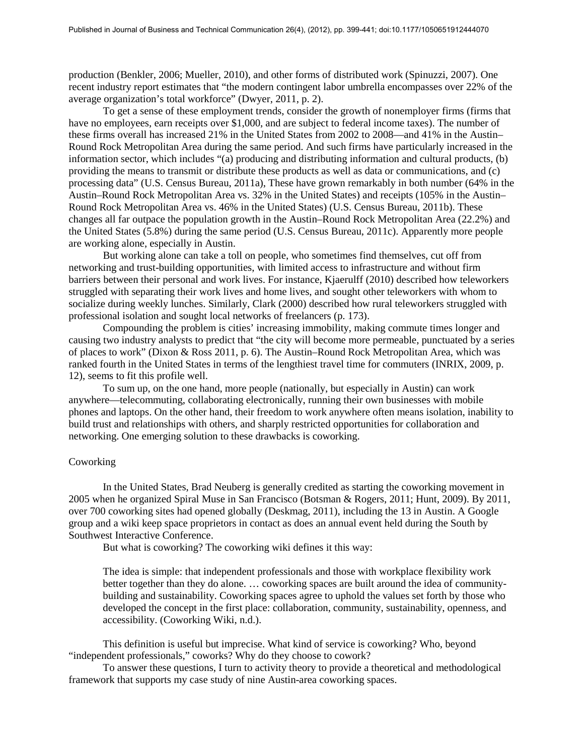production (Benkler, 2006; Mueller, 2010), and other forms of distributed work (Spinuzzi, 2007). One recent industry report estimates that "the modern contingent labor umbrella encompasses over 22% of the average organization's total workforce" (Dwyer, 2011, p. 2).

To get a sense of these employment trends, consider the growth of nonemployer firms (firms that have no employees, earn receipts over \$1,000, and are subject to federal income taxes). The number of these firms overall has increased 21% in the United States from 2002 to 2008—and 41% in the Austin– Round Rock Metropolitan Area during the same period. And such firms have particularly increased in the information sector, which includes "(a) producing and distributing information and cultural products, (b) providing the means to transmit or distribute these products as well as data or communications, and (c) processing data" (U.S. Census Bureau, 2011a), These have grown remarkably in both number (64% in the Austin–Round Rock Metropolitan Area vs. 32% in the United States) and receipts (105% in the Austin– Round Rock Metropolitan Area vs. 46% in the United States) (U.S. Census Bureau, 2011b). These changes all far outpace the population growth in the Austin–Round Rock Metropolitan Area (22.2%) and the United States (5.8%) during the same period (U.S. Census Bureau, 2011c). Apparently more people are working alone, especially in Austin.

But working alone can take a toll on people, who sometimes find themselves, cut off from networking and trust-building opportunities, with limited access to infrastructure and without firm barriers between their personal and work lives. For instance, Kjaerulff (2010) described how teleworkers struggled with separating their work lives and home lives, and sought other teleworkers with whom to socialize during weekly lunches. Similarly, Clark (2000) described how rural teleworkers struggled with professional isolation and sought local networks of freelancers (p. 173).

Compounding the problem is cities' increasing immobility, making commute times longer and causing two industry analysts to predict that "the city will become more permeable, punctuated by a series of places to work" (Dixon & Ross 2011, p. 6). The Austin–Round Rock Metropolitan Area, which was ranked fourth in the United States in terms of the lengthiest travel time for commuters (INRIX, 2009, p. 12), seems to fit this profile well.

To sum up, on the one hand, more people (nationally, but especially in Austin) can work anywhere—telecommuting, collaborating electronically, running their own businesses with mobile phones and laptops. On the other hand, their freedom to work anywhere often means isolation, inability to build trust and relationships with others, and sharply restricted opportunities for collaboration and networking. One emerging solution to these drawbacks is coworking.

# **Coworking**

In the United States, Brad Neuberg is generally credited as starting the coworking movement in 2005 when he organized Spiral Muse in San Francisco (Botsman & Rogers, 2011; Hunt, 2009). By 2011, over 700 coworking sites had opened globally (Deskmag, 2011), including the 13 in Austin. A Google group and a wiki keep space proprietors in contact as does an annual event held during the South by Southwest Interactive Conference.

But what is coworking? The coworking wiki defines it this way:

The idea is simple: that independent professionals and those with workplace flexibility work better together than they do alone. ... coworking spaces are built around the idea of communitybuilding and sustainability. Coworking spaces agree to uphold the values set forth by those who developed the concept in the first place: collaboration, community, sustainability, openness, and accessibility. (Coworking Wiki, n.d.).

This definition is useful but imprecise. What kind of service is coworking? Who, beyond "independent professionals," coworks? Why do they choose to cowork?

To answer these questions, I turn to activity theory to provide a theoretical and methodological framework that supports my case study of nine Austin-area coworking spaces.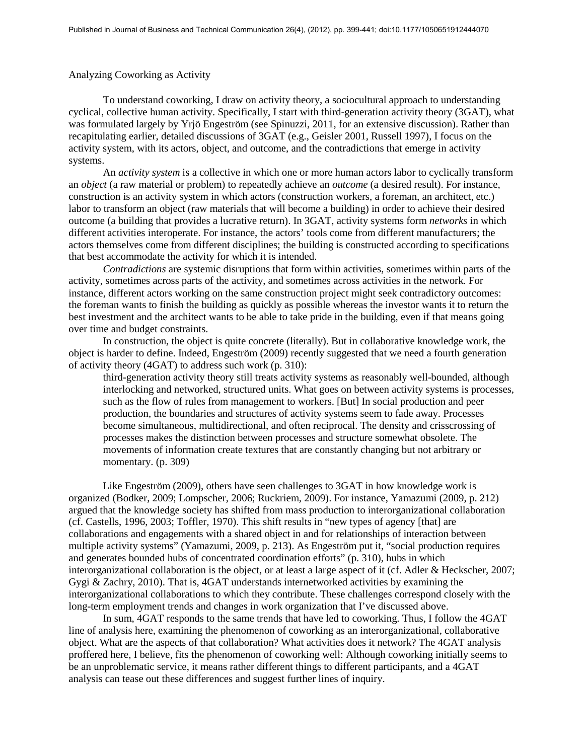# Analyzing Coworking as Activity

To understand coworking, I draw on activity theory, a sociocultural approach to understanding cyclical, collective human activity. Specifically, I start with third-generation activity theory (3GAT), what was formulated largely by Yrjö Engeström (see Spinuzzi, 2011, for an extensive discussion). Rather than recapitulating earlier, detailed discussions of 3GAT (e.g., Geisler 2001, Russell 1997), I focus on the activity system, with its actors, object, and outcome, and the contradictions that emerge in activity systems.

An *activity system* is a collective in which one or more human actors labor to cyclically transform an *object* (a raw material or problem) to repeatedly achieve an *outcome* (a desired result). For instance, construction is an activity system in which actors (construction workers, a foreman, an architect, etc.) labor to transform an object (raw materials that will become a building) in order to achieve their desired outcome (a building that provides a lucrative return). In 3GAT, activity systems form *networks* in which different activities interoperate. For instance, the actors' tools come from different manufacturers; the actors themselves come from different disciplines; the building is constructed according to specifications that best accommodate the activity for which it is intended.

*Contradictions* are systemic disruptions that form within activities, sometimes within parts of the activity, sometimes across parts of the activity, and sometimes across activities in the network. For instance, different actors working on the same construction project might seek contradictory outcomes: the foreman wants to finish the building as quickly as possible whereas the investor wants it to return the best investment and the architect wants to be able to take pride in the building, even if that means going over time and budget constraints.

In construction, the object is quite concrete (literally). But in collaborative knowledge work, the object is harder to define. Indeed, Engeström (2009) recently suggested that we need a fourth generation of activity theory (4GAT) to address such work (p. 310):

third-generation activity theory still treats activity systems as reasonably well-bounded, although interlocking and networked, structured units. What goes on between activity systems is processes, such as the flow of rules from management to workers. [But] In social production and peer production, the boundaries and structures of activity systems seem to fade away. Processes become simultaneous, multidirectional, and often reciprocal. The density and crisscrossing of processes makes the distinction between processes and structure somewhat obsolete. The movements of information create textures that are constantly changing but not arbitrary or momentary. (p. 309)

Like Engeström (2009), others have seen challenges to 3GAT in how knowledge work is organized (Bodker, 2009; Lompscher, 2006; Ruckriem, 2009). For instance, Yamazumi (2009, p. 212) argued that the knowledge society has shifted from mass production to interorganizational collaboration (cf. Castells, 1996, 2003; Toffler, 1970). This shift results in "new types of agency [that] are collaborations and engagements with a shared object in and for relationships of interaction between multiple activity systems" (Yamazumi, 2009, p. 213). As Engeström put it, "social production requires and generates bounded hubs of concentrated coordination efforts" (p. 310), hubs in which interorganizational collaboration is the object, or at least a large aspect of it (cf. Adler & Heckscher, 2007; Gygi & Zachry, 2010). That is, 4GAT understands internetworked activities by examining the interorganizational collaborations to which they contribute. These challenges correspond closely with the long-term employment trends and changes in work organization that I've discussed above.

 In sum, 4GAT responds to the same trends that have led to coworking. Thus, I follow the 4GAT line of analysis here, examining the phenomenon of coworking as an interorganizational, collaborative object. What are the aspects of that collaboration? What activities does it network? The 4GAT analysis proffered here, I believe, fits the phenomenon of coworking well: Although coworking initially seems to be an unproblematic service, it means rather different things to different participants, and a 4GAT analysis can tease out these differences and suggest further lines of inquiry.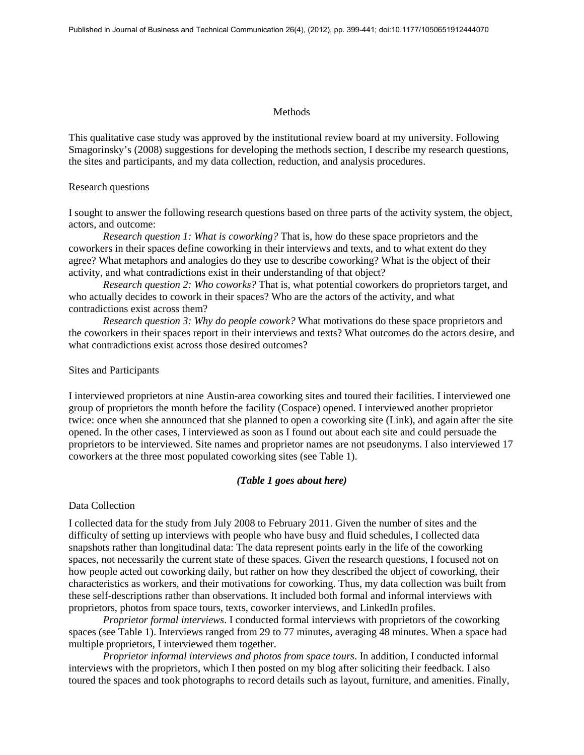#### **Methods**

This qualitative case study was approved by the institutional review board at my university. Following Smagorinsky's (2008) suggestions for developing the methods section, I describe my research questions, the sites and participants, and my data collection, reduction, and analysis procedures.

Research questions

I sought to answer the following research questions based on three parts of the activity system, the object, actors, and outcome:

*Research question 1: What is coworking?* That is, how do these space proprietors and the coworkers in their spaces define coworking in their interviews and texts, and to what extent do they agree? What metaphors and analogies do they use to describe coworking? What is the object of their activity, and what contradictions exist in their understanding of that object?

*Research question 2: Who coworks?* That is, what potential coworkers do proprietors target, and who actually decides to cowork in their spaces? Who are the actors of the activity, and what contradictions exist across them?

*Research question 3: Why do people cowork?* What motivations do these space proprietors and the coworkers in their spaces report in their interviews and texts? What outcomes do the actors desire, and what contradictions exist across those desired outcomes?

#### Sites and Participants

I interviewed proprietors at nine Austin-area coworking sites and toured their facilities. I interviewed one group of proprietors the month before the facility (Cospace) opened. I interviewed another proprietor twice: once when she announced that she planned to open a coworking site (Link), and again after the site opened. In the other cases, I interviewed as soon as I found out about each site and could persuade the proprietors to be interviewed. Site names and proprietor names are not pseudonyms. I also interviewed 17 coworkers at the three most populated coworking sites (see Table 1).

#### *(Table 1 goes about here)*

Data Collection

I collected data for the study from July 2008 to February 2011. Given the number of sites and the difficulty of setting up interviews with people who have busy and fluid schedules, I collected data snapshots rather than longitudinal data: The data represent points early in the life of the coworking spaces, not necessarily the current state of these spaces. Given the research questions, I focused not on how people acted out coworking daily, but rather on how they described the object of coworking, their characteristics as workers, and their motivations for coworking. Thus, my data collection was built from these self-descriptions rather than observations. It included both formal and informal interviews with proprietors, photos from space tours, texts, coworker interviews, and LinkedIn profiles.

*Proprietor formal interviews*. I conducted formal interviews with proprietors of the coworking spaces (see Table 1). Interviews ranged from 29 to 77 minutes, averaging 48 minutes. When a space had multiple proprietors, I interviewed them together.

*Proprietor informal interviews and photos from space tours*. In addition, I conducted informal interviews with the proprietors, which I then posted on my blog after soliciting their feedback. I also toured the spaces and took photographs to record details such as layout, furniture, and amenities. Finally,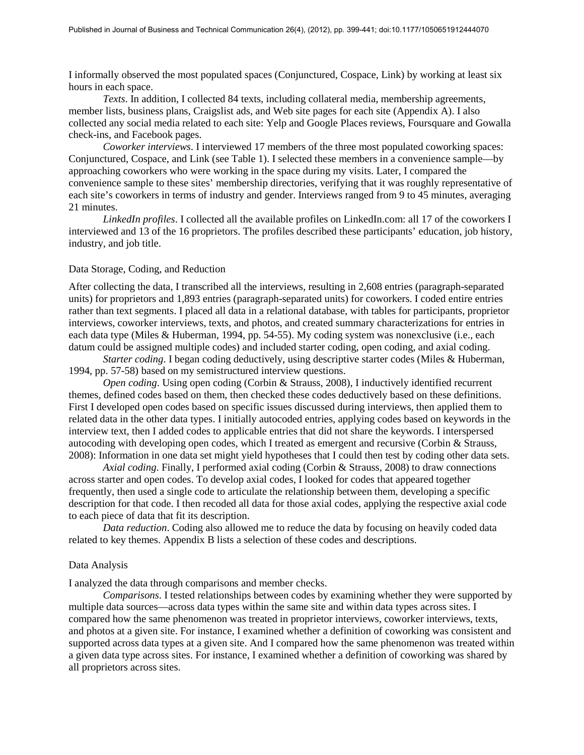I informally observed the most populated spaces (Conjunctured, Cospace, Link) by working at least six hours in each space.

*Texts*. In addition, I collected 84 texts, including collateral media, membership agreements, member lists, business plans, Craigslist ads, and Web site pages for each site (Appendix A). I also collected any social media related to each site: Yelp and Google Places reviews, Foursquare and Gowalla check-ins, and Facebook pages.

*Coworker interviews*. I interviewed 17 members of the three most populated coworking spaces: Conjunctured, Cospace, and Link (see Table 1). I selected these members in a convenience sample—by approaching coworkers who were working in the space during my visits. Later, I compared the convenience sample to these sites' membership directories, verifying that it was roughly representative of each site's coworkers in terms of industry and gender. Interviews ranged from 9 to 45 minutes, averaging 21 minutes.

*LinkedIn profiles*. I collected all the available profiles on LinkedIn.com: all 17 of the coworkers I interviewed and 13 of the 16 proprietors. The profiles described these participants' education, job history, industry, and job title.

#### Data Storage, Coding, and Reduction

After collecting the data, I transcribed all the interviews, resulting in 2,608 entries (paragraph-separated units) for proprietors and 1,893 entries (paragraph-separated units) for coworkers. I coded entire entries rather than text segments. I placed all data in a relational database, with tables for participants, proprietor interviews, coworker interviews, texts, and photos, and created summary characterizations for entries in each data type (Miles & Huberman, 1994, pp. 54-55). My coding system was nonexclusive (i.e., each datum could be assigned multiple codes) and included starter coding, open coding, and axial coding.

*Starter coding*. I began coding deductively, using descriptive starter codes (Miles & Huberman, 1994, pp. 57-58) based on my semistructured interview questions.

*Open coding*. Using open coding (Corbin & Strauss, 2008), I inductively identified recurrent themes, defined codes based on them, then checked these codes deductively based on these definitions. First I developed open codes based on specific issues discussed during interviews, then applied them to related data in the other data types. I initially autocoded entries, applying codes based on keywords in the interview text, then I added codes to applicable entries that did not share the keywords. I interspersed autocoding with developing open codes, which I treated as emergent and recursive (Corbin & Strauss, 2008): Information in one data set might yield hypotheses that I could then test by coding other data sets.

*Axial coding*. Finally, I performed axial coding (Corbin & Strauss, 2008) to draw connections across starter and open codes. To develop axial codes, I looked for codes that appeared together frequently, then used a single code to articulate the relationship between them, developing a specific description for that code. I then recoded all data for those axial codes, applying the respective axial code to each piece of data that fit its description.

*Data reduction*. Coding also allowed me to reduce the data by focusing on heavily coded data related to key themes. Appendix B lists a selection of these codes and descriptions.

#### Data Analysis

I analyzed the data through comparisons and member checks.

*Comparisons*. I tested relationships between codes by examining whether they were supported by multiple data sources—across data types within the same site and within data types across sites. I compared how the same phenomenon was treated in proprietor interviews, coworker interviews, texts, and photos at a given site. For instance, I examined whether a definition of coworking was consistent and supported across data types at a given site. And I compared how the same phenomenon was treated within a given data type across sites. For instance, I examined whether a definition of coworking was shared by all proprietors across sites.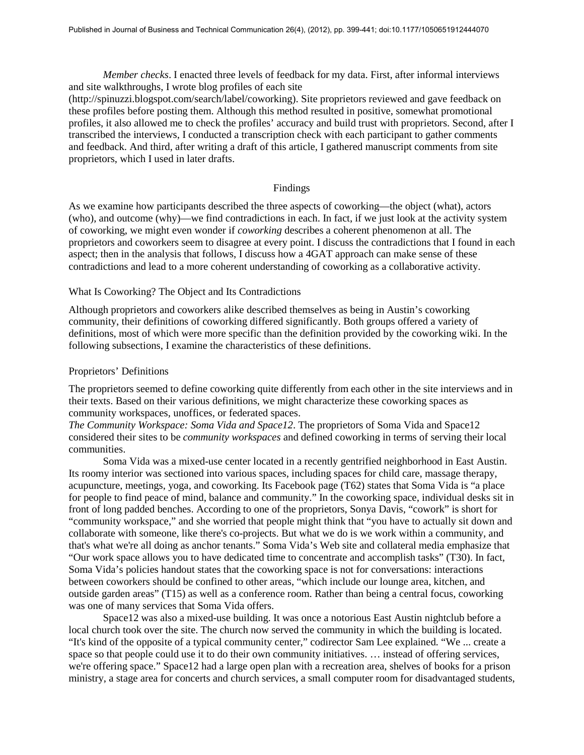*Member checks*. I enacted three levels of feedback for my data. First, after informal interviews and site walkthroughs, I wrote blog profiles of each site

(http://spinuzzi.blogspot.com/search/label/coworking). Site proprietors reviewed and gave feedback on these profiles before posting them. Although this method resulted in positive, somewhat promotional profiles, it also allowed me to check the profiles' accuracy and build trust with proprietors. Second, after I transcribed the interviews, I conducted a transcription check with each participant to gather comments and feedback. And third, after writing a draft of this article, I gathered manuscript comments from site proprietors, which I used in later drafts.

# Findings

As we examine how participants described the three aspects of coworking—the object (what), actors (who), and outcome (why)—we find contradictions in each. In fact, if we just look at the activity system of coworking, we might even wonder if *coworking* describes a coherent phenomenon at all. The proprietors and coworkers seem to disagree at every point. I discuss the contradictions that I found in each aspect; then in the analysis that follows, I discuss how a 4GAT approach can make sense of these contradictions and lead to a more coherent understanding of coworking as a collaborative activity.

# What Is Coworking? The Object and Its Contradictions

Although proprietors and coworkers alike described themselves as being in Austin's coworking community, their definitions of coworking differed significantly. Both groups offered a variety of definitions, most of which were more specific than the definition provided by the coworking wiki. In the following subsections, I examine the characteristics of these definitions.

# Proprietors' Definitions

The proprietors seemed to define coworking quite differently from each other in the site interviews and in their texts. Based on their various definitions, we might characterize these coworking spaces as community workspaces, unoffices, or federated spaces.

*The Community Workspace: Soma Vida and Space12*. The proprietors of Soma Vida and Space12 considered their sites to be *community workspaces* and defined coworking in terms of serving their local communities.

Soma Vida was a mixed-use center located in a recently gentrified neighborhood in East Austin. Its roomy interior was sectioned into various spaces, including spaces for child care, massage therapy, acupuncture, meetings, yoga, and coworking. Its Facebook page (T62) states that Soma Vida is "a place for people to find peace of mind, balance and community." In the coworking space, individual desks sit in front of long padded benches. According to one of the proprietors, Sonya Davis, "cowork" is short for "community workspace," and she worried that people might think that "you have to actually sit down and collaborate with someone, like there's co-projects. But what we do is we work within a community, and that's what we're all doing as anchor tenants." Soma Vida's Web site and collateral media emphasize that "Our work space allows you to have dedicated time to concentrate and accomplish tasks" (T30). In fact, Soma Vida's policies handout states that the coworking space is not for conversations: interactions between coworkers should be confined to other areas, "which include our lounge area, kitchen, and outside garden areas" (T15) as well as a conference room. Rather than being a central focus, coworking was one of many services that Soma Vida offers.

Space12 was also a mixed-use building. It was once a notorious East Austin nightclub before a local church took over the site. The church now served the community in which the building is located. "It's kind of the opposite of a typical community center," codirector Sam Lee explained. "We ... create a space so that people could use it to do their own community initiatives. … instead of offering services, we're offering space." Space12 had a large open plan with a recreation area, shelves of books for a prison ministry, a stage area for concerts and church services, a small computer room for disadvantaged students,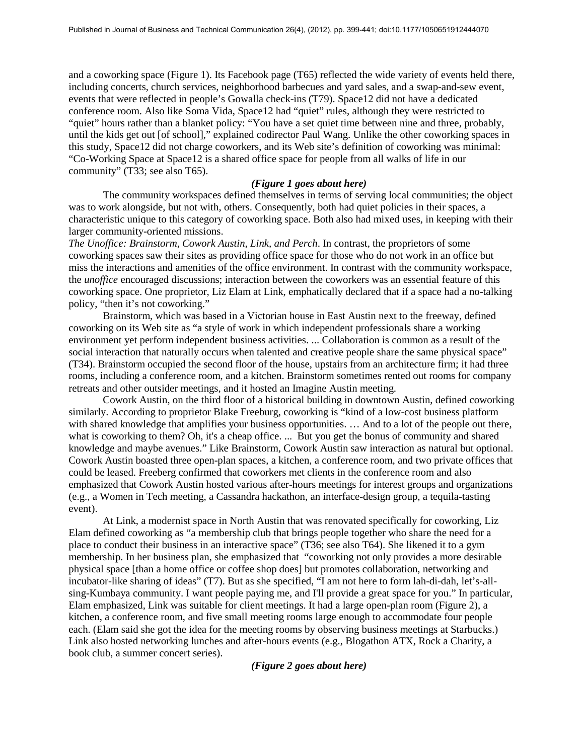and a coworking space (Figure 1). Its Facebook page (T65) reflected the wide variety of events held there, including concerts, church services, neighborhood barbecues and yard sales, and a swap-and-sew event, events that were reflected in people's Gowalla check-ins (T79). Space12 did not have a dedicated conference room. Also like Soma Vida, Space12 had "quiet" rules, although they were restricted to "quiet" hours rather than a blanket policy: "You have a set quiet time between nine and three, probably, until the kids get out [of school]," explained codirector Paul Wang. Unlike the other coworking spaces in this study, Space12 did not charge coworkers, and its Web site's definition of coworking was minimal: "Co-Working Space at Space12 is a shared office space for people from all walks of life in our community" (T33; see also T65).

#### *(Figure 1 goes about here)*

The community workspaces defined themselves in terms of serving local communities; the object was to work alongside, but not with, others. Consequently, both had quiet policies in their spaces, a characteristic unique to this category of coworking space. Both also had mixed uses, in keeping with their larger community-oriented missions.

*The Unoffice: Brainstorm, Cowork Austin, Link, and Perch*. In contrast, the proprietors of some coworking spaces saw their sites as providing office space for those who do not work in an office but miss the interactions and amenities of the office environment. In contrast with the community workspace, the *unoffice* encouraged discussions; interaction between the coworkers was an essential feature of this coworking space. One proprietor, Liz Elam at Link, emphatically declared that if a space had a no-talking policy, "then it's not coworking."

Brainstorm, which was based in a Victorian house in East Austin next to the freeway, defined coworking on its Web site as "a style of work in which independent professionals share a working environment yet perform independent business activities. ... Collaboration is common as a result of the social interaction that naturally occurs when talented and creative people share the same physical space" (T34). Brainstorm occupied the second floor of the house, upstairs from an architecture firm; it had three rooms, including a conference room, and a kitchen. Brainstorm sometimes rented out rooms for company retreats and other outsider meetings, and it hosted an Imagine Austin meeting.

Cowork Austin, on the third floor of a historical building in downtown Austin, defined coworking similarly. According to proprietor Blake Freeburg, coworking is "kind of a low-cost business platform with shared knowledge that amplifies your business opportunities. ... And to a lot of the people out there, what is coworking to them? Oh, it's a cheap office. ... But you get the bonus of community and shared knowledge and maybe avenues." Like Brainstorm, Cowork Austin saw interaction as natural but optional. Cowork Austin boasted three open-plan spaces, a kitchen, a conference room, and two private offices that could be leased. Freeberg confirmed that coworkers met clients in the conference room and also emphasized that Cowork Austin hosted various after-hours meetings for interest groups and organizations (e.g., a Women in Tech meeting, a Cassandra hackathon, an interface-design group, a tequila-tasting event).

At Link, a modernist space in North Austin that was renovated specifically for coworking, Liz Elam defined coworking as "a membership club that brings people together who share the need for a place to conduct their business in an interactive space" (T36; see also T64). She likened it to a gym membership. In her business plan, she emphasized that "coworking not only provides a more desirable physical space [than a home office or coffee shop does] but promotes collaboration, networking and incubator-like sharing of ideas" (T7). But as she specified, "I am not here to form lah-di-dah, let's-allsing-Kumbaya community. I want people paying me, and I'll provide a great space for you." In particular, Elam emphasized, Link was suitable for client meetings. It had a large open-plan room (Figure 2), a kitchen, a conference room, and five small meeting rooms large enough to accommodate four people each. (Elam said she got the idea for the meeting rooms by observing business meetings at Starbucks.) Link also hosted networking lunches and after-hours events (e.g., Blogathon ATX, Rock a Charity, a book club, a summer concert series).

*(Figure 2 goes about here)*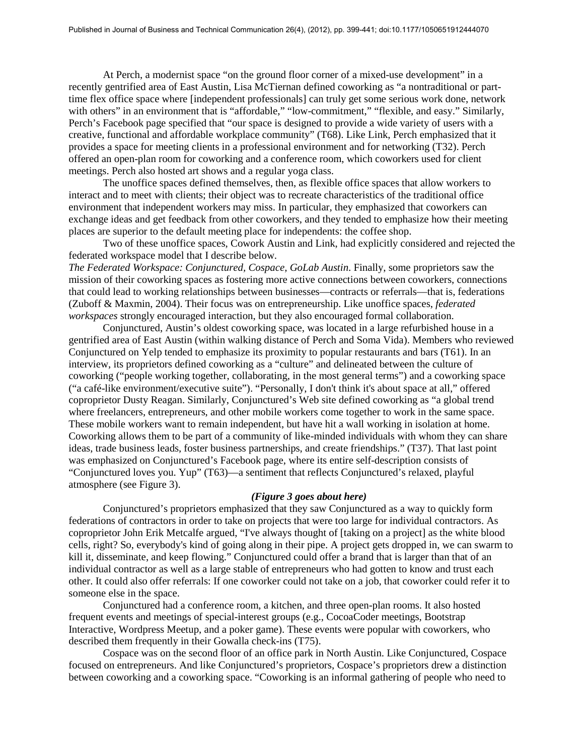At Perch, a modernist space "on the ground floor corner of a mixed-use development" in a recently gentrified area of East Austin, Lisa McTiernan defined coworking as "a nontraditional or parttime flex office space where [independent professionals] can truly get some serious work done, network with others" in an environment that is "affordable," "low-commitment," "flexible, and easy." Similarly, Perch's Facebook page specified that "our space is designed to provide a wide variety of users with a creative, functional and affordable workplace community" (T68). Like Link, Perch emphasized that it provides a space for meeting clients in a professional environment and for networking (T32). Perch offered an open-plan room for coworking and a conference room, which coworkers used for client meetings. Perch also hosted art shows and a regular yoga class.

The unoffice spaces defined themselves, then, as flexible office spaces that allow workers to interact and to meet with clients; their object was to recreate characteristics of the traditional office environment that independent workers may miss. In particular, they emphasized that coworkers can exchange ideas and get feedback from other coworkers, and they tended to emphasize how their meeting places are superior to the default meeting place for independents: the coffee shop.

Two of these unoffice spaces, Cowork Austin and Link, had explicitly considered and rejected the federated workspace model that I describe below.

*The Federated Workspace: Conjunctured, Cospace, GoLab Austin*. Finally, some proprietors saw the mission of their coworking spaces as fostering more active connections between coworkers, connections that could lead to working relationships between businesses—contracts or referrals—that is, federations (Zuboff & Maxmin, 2004). Their focus was on entrepreneurship. Like unoffice spaces, *federated workspaces* strongly encouraged interaction, but they also encouraged formal collaboration.

Conjunctured, Austin's oldest coworking space, was located in a large refurbished house in a gentrified area of East Austin (within walking distance of Perch and Soma Vida). Members who reviewed Conjunctured on Yelp tended to emphasize its proximity to popular restaurants and bars (T61). In an interview, its proprietors defined coworking as a "culture" and delineated between the culture of coworking ("people working together, collaborating, in the most general terms") and a coworking space ("a café-like environment/executive suite"). "Personally, I don't think it's about space at all," offered coproprietor Dusty Reagan. Similarly, Conjunctured's Web site defined coworking as "a global trend where freelancers, entrepreneurs, and other mobile workers come together to work in the same space. These mobile workers want to remain independent, but have hit a wall working in isolation at home. Coworking allows them to be part of a community of like-minded individuals with whom they can share ideas, trade business leads, foster business partnerships, and create friendships." (T37). That last point was emphasized on Conjunctured's Facebook page, where its entire self-description consists of "Conjunctured loves you. Yup" (T63)—a sentiment that reflects Conjunctured's relaxed, playful atmosphere (see Figure 3).

## *(Figure 3 goes about here)*

Conjunctured's proprietors emphasized that they saw Conjunctured as a way to quickly form federations of contractors in order to take on projects that were too large for individual contractors. As coproprietor John Erik Metcalfe argued, "I've always thought of [taking on a project] as the white blood cells, right? So, everybody's kind of going along in their pipe. A project gets dropped in, we can swarm to kill it, disseminate, and keep flowing." Conjunctured could offer a brand that is larger than that of an individual contractor as well as a large stable of entrepreneurs who had gotten to know and trust each other. It could also offer referrals: If one coworker could not take on a job, that coworker could refer it to someone else in the space.

Conjunctured had a conference room, a kitchen, and three open-plan rooms. It also hosted frequent events and meetings of special-interest groups (e.g., CocoaCoder meetings, Bootstrap Interactive, Wordpress Meetup, and a poker game). These events were popular with coworkers, who described them frequently in their Gowalla check-ins (T75).

Cospace was on the second floor of an office park in North Austin. Like Conjunctured, Cospace focused on entrepreneurs. And like Conjunctured's proprietors, Cospace's proprietors drew a distinction between coworking and a coworking space. "Coworking is an informal gathering of people who need to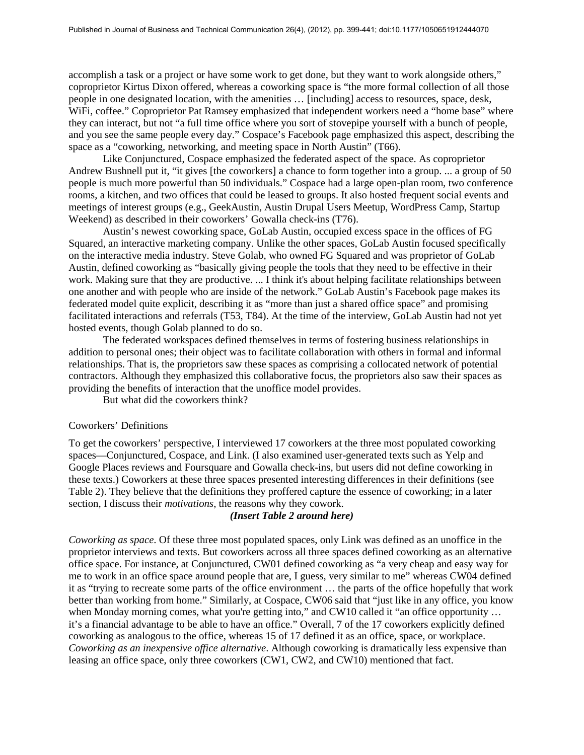accomplish a task or a project or have some work to get done, but they want to work alongside others," coproprietor Kirtus Dixon offered, whereas a coworking space is "the more formal collection of all those people in one designated location, with the amenities … [including] access to resources, space, desk, WiFi, coffee." Coproprietor Pat Ramsey emphasized that independent workers need a "home base" where they can interact, but not "a full time office where you sort of stovepipe yourself with a bunch of people, and you see the same people every day." Cospace's Facebook page emphasized this aspect, describing the space as a "coworking, networking, and meeting space in North Austin" (T66).

Like Conjunctured, Cospace emphasized the federated aspect of the space. As coproprietor Andrew Bushnell put it, "it gives [the coworkers] a chance to form together into a group. ... a group of 50 people is much more powerful than 50 individuals." Cospace had a large open-plan room, two conference rooms, a kitchen, and two offices that could be leased to groups. It also hosted frequent social events and meetings of interest groups (e.g., GeekAustin, Austin Drupal Users Meetup, WordPress Camp, Startup Weekend) as described in their coworkers' Gowalla check-ins (T76).

Austin's newest coworking space, GoLab Austin, occupied excess space in the offices of FG Squared, an interactive marketing company. Unlike the other spaces, GoLab Austin focused specifically on the interactive media industry. Steve Golab, who owned FG Squared and was proprietor of GoLab Austin, defined coworking as "basically giving people the tools that they need to be effective in their work. Making sure that they are productive. ... I think it's about helping facilitate relationships between one another and with people who are inside of the network." GoLab Austin's Facebook page makes its federated model quite explicit, describing it as "more than just a shared office space" and promising facilitated interactions and referrals (T53, T84). At the time of the interview, GoLab Austin had not yet hosted events, though Golab planned to do so.

The federated workspaces defined themselves in terms of fostering business relationships in addition to personal ones; their object was to facilitate collaboration with others in formal and informal relationships. That is, the proprietors saw these spaces as comprising a collocated network of potential contractors. Although they emphasized this collaborative focus, the proprietors also saw their spaces as providing the benefits of interaction that the unoffice model provides.

But what did the coworkers think?

## Coworkers' Definitions

To get the coworkers' perspective, I interviewed 17 coworkers at the three most populated coworking spaces—Conjunctured, Cospace, and Link. (I also examined user-generated texts such as Yelp and Google Places reviews and Foursquare and Gowalla check-ins, but users did not define coworking in these texts.) Coworkers at these three spaces presented interesting differences in their definitions (see Table 2). They believe that the definitions they proffered capture the essence of coworking; in a later section, I discuss their *motivations*, the reasons why they cowork.

# *(Insert Table 2 around here)*

*Coworking as space*. Of these three most populated spaces, only Link was defined as an unoffice in the proprietor interviews and texts. But coworkers across all three spaces defined coworking as an alternative office space. For instance, at Conjunctured, CW01 defined coworking as "a very cheap and easy way for me to work in an office space around people that are, I guess, very similar to me" whereas CW04 defined it as "trying to recreate some parts of the office environment … the parts of the office hopefully that work better than working from home." Similarly, at Cospace, CW06 said that "just like in any office, you know when Monday morning comes, what you're getting into," and CW10 called it "an office opportunity ... it's a financial advantage to be able to have an office." Overall, 7 of the 17 coworkers explicitly defined coworking as analogous to the office, whereas 15 of 17 defined it as an office, space, or workplace. *Coworking as an inexpensive office alternative*. Although coworking is dramatically less expensive than leasing an office space, only three coworkers (CW1, CW2, and CW10) mentioned that fact.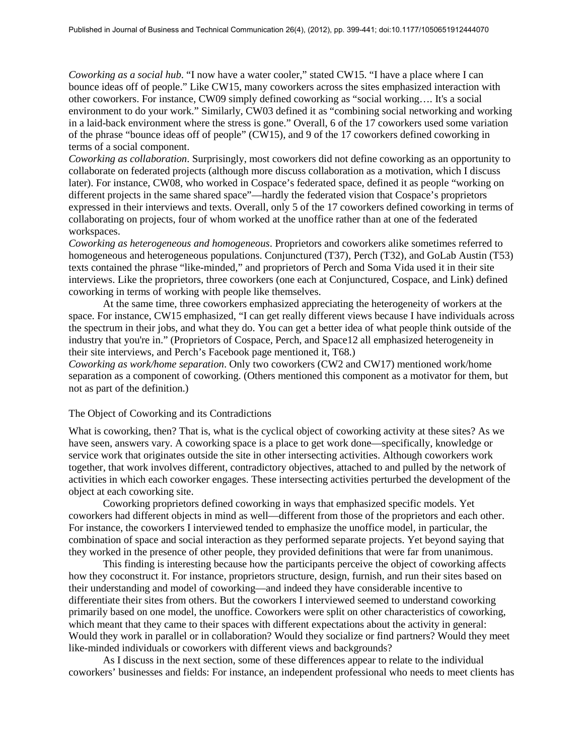*Coworking as a social hub*. "I now have a water cooler," stated CW15. "I have a place where I can bounce ideas off of people." Like CW15, many coworkers across the sites emphasized interaction with other coworkers. For instance, CW09 simply defined coworking as "social working…. It's a social environment to do your work." Similarly, CW03 defined it as "combining social networking and working in a laid-back environment where the stress is gone." Overall, 6 of the 17 coworkers used some variation of the phrase "bounce ideas off of people" (CW15), and 9 of the 17 coworkers defined coworking in terms of a social component.

*Coworking as collaboration*. Surprisingly, most coworkers did not define coworking as an opportunity to collaborate on federated projects (although more discuss collaboration as a motivation, which I discuss later). For instance, CW08, who worked in Cospace's federated space, defined it as people "working on different projects in the same shared space"—hardly the federated vision that Cospace's proprietors expressed in their interviews and texts. Overall, only 5 of the 17 coworkers defined coworking in terms of collaborating on projects, four of whom worked at the unoffice rather than at one of the federated workspaces.

*Coworking as heterogeneous and homogeneous*. Proprietors and coworkers alike sometimes referred to homogeneous and heterogeneous populations. Conjunctured (T37), Perch (T32), and GoLab Austin (T53) texts contained the phrase "like-minded," and proprietors of Perch and Soma Vida used it in their site interviews. Like the proprietors, three coworkers (one each at Conjunctured, Cospace, and Link) defined coworking in terms of working with people like themselves.

At the same time, three coworkers emphasized appreciating the heterogeneity of workers at the space. For instance, CW15 emphasized, "I can get really different views because I have individuals across the spectrum in their jobs, and what they do. You can get a better idea of what people think outside of the industry that you're in." (Proprietors of Cospace, Perch, and Space12 all emphasized heterogeneity in their site interviews, and Perch's Facebook page mentioned it, T68.)

*Coworking as work/home separation*. Only two coworkers (CW2 and CW17) mentioned work/home separation as a component of coworking. (Others mentioned this component as a motivator for them, but not as part of the definition.)

# The Object of Coworking and its Contradictions

What is coworking, then? That is, what is the cyclical object of coworking activity at these sites? As we have seen, answers vary. A coworking space is a place to get work done—specifically, knowledge or service work that originates outside the site in other intersecting activities. Although coworkers work together, that work involves different, contradictory objectives, attached to and pulled by the network of activities in which each coworker engages. These intersecting activities perturbed the development of the object at each coworking site.

Coworking proprietors defined coworking in ways that emphasized specific models. Yet coworkers had different objects in mind as well—different from those of the proprietors and each other. For instance, the coworkers I interviewed tended to emphasize the unoffice model, in particular, the combination of space and social interaction as they performed separate projects. Yet beyond saying that they worked in the presence of other people, they provided definitions that were far from unanimous.

This finding is interesting because how the participants perceive the object of coworking affects how they coconstruct it. For instance, proprietors structure, design, furnish, and run their sites based on their understanding and model of coworking—and indeed they have considerable incentive to differentiate their sites from others. But the coworkers I interviewed seemed to understand coworking primarily based on one model, the unoffice. Coworkers were split on other characteristics of coworking, which meant that they came to their spaces with different expectations about the activity in general: Would they work in parallel or in collaboration? Would they socialize or find partners? Would they meet like-minded individuals or coworkers with different views and backgrounds?

As I discuss in the next section, some of these differences appear to relate to the individual coworkers' businesses and fields: For instance, an independent professional who needs to meet clients has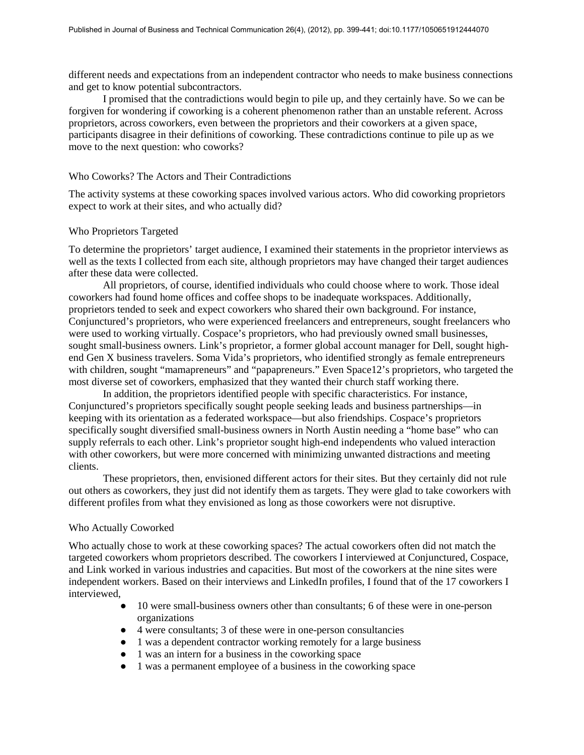different needs and expectations from an independent contractor who needs to make business connections and get to know potential subcontractors.

I promised that the contradictions would begin to pile up, and they certainly have. So we can be forgiven for wondering if coworking is a coherent phenomenon rather than an unstable referent. Across proprietors, across coworkers, even between the proprietors and their coworkers at a given space, participants disagree in their definitions of coworking. These contradictions continue to pile up as we move to the next question: who coworks?

# Who Coworks? The Actors and Their Contradictions

The activity systems at these coworking spaces involved various actors. Who did coworking proprietors expect to work at their sites, and who actually did?

# Who Proprietors Targeted

To determine the proprietors' target audience, I examined their statements in the proprietor interviews as well as the texts I collected from each site, although proprietors may have changed their target audiences after these data were collected.

All proprietors, of course, identified individuals who could choose where to work. Those ideal coworkers had found home offices and coffee shops to be inadequate workspaces. Additionally, proprietors tended to seek and expect coworkers who shared their own background. For instance, Conjunctured's proprietors, who were experienced freelancers and entrepreneurs, sought freelancers who were used to working virtually. Cospace's proprietors, who had previously owned small businesses, sought small-business owners. Link's proprietor, a former global account manager for Dell, sought highend Gen X business travelers. Soma Vida's proprietors, who identified strongly as female entrepreneurs with children, sought "mamapreneurs" and "papapreneurs." Even Space12's proprietors, who targeted the most diverse set of coworkers, emphasized that they wanted their church staff working there.

In addition, the proprietors identified people with specific characteristics. For instance, Conjunctured's proprietors specifically sought people seeking leads and business partnerships—in keeping with its orientation as a federated workspace—but also friendships. Cospace's proprietors specifically sought diversified small-business owners in North Austin needing a "home base" who can supply referrals to each other. Link's proprietor sought high-end independents who valued interaction with other coworkers, but were more concerned with minimizing unwanted distractions and meeting clients.

These proprietors, then, envisioned different actors for their sites. But they certainly did not rule out others as coworkers, they just did not identify them as targets. They were glad to take coworkers with different profiles from what they envisioned as long as those coworkers were not disruptive.

# Who Actually Coworked

Who actually chose to work at these coworking spaces? The actual coworkers often did not match the targeted coworkers whom proprietors described. The coworkers I interviewed at Conjunctured, Cospace, and Link worked in various industries and capacities. But most of the coworkers at the nine sites were independent workers. Based on their interviews and LinkedIn profiles, I found that of the 17 coworkers I interviewed,

- 10 were small-business owners other than consultants; 6 of these were in one-person organizations
- 4 were consultants; 3 of these were in one-person consultancies
- 1 was a dependent contractor working remotely for a large business
- 1 was an intern for a business in the coworking space
- 1 was a permanent employee of a business in the coworking space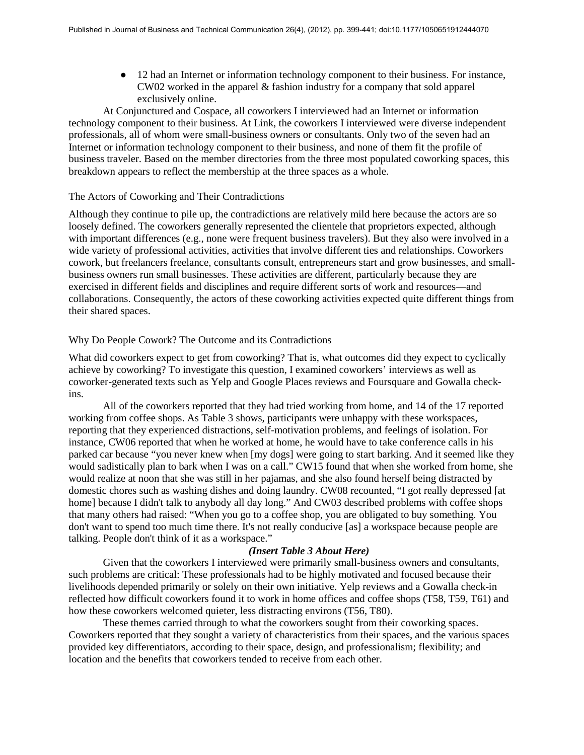● 12 had an Internet or information technology component to their business. For instance, CW02 worked in the apparel & fashion industry for a company that sold apparel exclusively online.

At Conjunctured and Cospace, all coworkers I interviewed had an Internet or information technology component to their business. At Link, the coworkers I interviewed were diverse independent professionals, all of whom were small-business owners or consultants. Only two of the seven had an Internet or information technology component to their business, and none of them fit the profile of business traveler. Based on the member directories from the three most populated coworking spaces, this breakdown appears to reflect the membership at the three spaces as a whole.

# The Actors of Coworking and Their Contradictions

Although they continue to pile up, the contradictions are relatively mild here because the actors are so loosely defined. The coworkers generally represented the clientele that proprietors expected, although with important differences (e.g., none were frequent business travelers). But they also were involved in a wide variety of professional activities, activities that involve different ties and relationships. Coworkers cowork, but freelancers freelance, consultants consult, entrepreneurs start and grow businesses, and smallbusiness owners run small businesses. These activities are different, particularly because they are exercised in different fields and disciplines and require different sorts of work and resources—and collaborations. Consequently, the actors of these coworking activities expected quite different things from their shared spaces.

# Why Do People Cowork? The Outcome and its Contradictions

What did coworkers expect to get from coworking? That is, what outcomes did they expect to cyclically achieve by coworking? To investigate this question, I examined coworkers' interviews as well as coworker-generated texts such as Yelp and Google Places reviews and Foursquare and Gowalla checkins.

All of the coworkers reported that they had tried working from home, and 14 of the 17 reported working from coffee shops. As Table 3 shows, participants were unhappy with these workspaces, reporting that they experienced distractions, self-motivation problems, and feelings of isolation. For instance, CW06 reported that when he worked at home, he would have to take conference calls in his parked car because "you never knew when [my dogs] were going to start barking. And it seemed like they would sadistically plan to bark when I was on a call." CW15 found that when she worked from home, she would realize at noon that she was still in her pajamas, and she also found herself being distracted by domestic chores such as washing dishes and doing laundry. CW08 recounted, "I got really depressed [at home] because I didn't talk to anybody all day long." And CW03 described problems with coffee shops that many others had raised: "When you go to a coffee shop, you are obligated to buy something. You don't want to spend too much time there. It's not really conducive [as] a workspace because people are talking. People don't think of it as a workspace."

# *(Insert Table 3 About Here)*

Given that the coworkers I interviewed were primarily small-business owners and consultants, such problems are critical: These professionals had to be highly motivated and focused because their livelihoods depended primarily or solely on their own initiative. Yelp reviews and a Gowalla check-in reflected how difficult coworkers found it to work in home offices and coffee shops (T58, T59, T61) and how these coworkers welcomed quieter, less distracting environs (T56, T80).

These themes carried through to what the coworkers sought from their coworking spaces. Coworkers reported that they sought a variety of characteristics from their spaces, and the various spaces provided key differentiators, according to their space, design, and professionalism; flexibility; and location and the benefits that coworkers tended to receive from each other.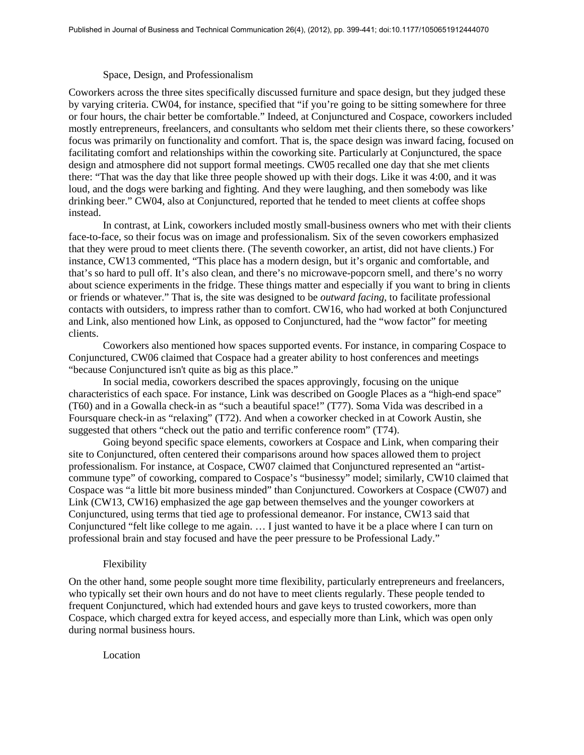# Space, Design, and Professionalism

Coworkers across the three sites specifically discussed furniture and space design, but they judged these by varying criteria. CW04, for instance, specified that "if you're going to be sitting somewhere for three or four hours, the chair better be comfortable." Indeed, at Conjunctured and Cospace, coworkers included mostly entrepreneurs, freelancers, and consultants who seldom met their clients there, so these coworkers' focus was primarily on functionality and comfort. That is, the space design was inward facing, focused on facilitating comfort and relationships within the coworking site. Particularly at Conjunctured, the space design and atmosphere did not support formal meetings. CW05 recalled one day that she met clients there: "That was the day that like three people showed up with their dogs. Like it was 4:00, and it was loud, and the dogs were barking and fighting. And they were laughing, and then somebody was like drinking beer." CW04, also at Conjunctured, reported that he tended to meet clients at coffee shops instead.

In contrast, at Link, coworkers included mostly small-business owners who met with their clients face-to-face, so their focus was on image and professionalism. Six of the seven coworkers emphasized that they were proud to meet clients there. (The seventh coworker, an artist, did not have clients.) For instance, CW13 commented, "This place has a modern design, but it's organic and comfortable, and that's so hard to pull off. It's also clean, and there's no microwave-popcorn smell, and there's no worry about science experiments in the fridge. These things matter and especially if you want to bring in clients or friends or whatever." That is, the site was designed to be *outward facing*, to facilitate professional contacts with outsiders, to impress rather than to comfort. CW16, who had worked at both Conjunctured and Link, also mentioned how Link, as opposed to Conjunctured, had the "wow factor" for meeting clients.

Coworkers also mentioned how spaces supported events. For instance, in comparing Cospace to Conjunctured, CW06 claimed that Cospace had a greater ability to host conferences and meetings "because Conjunctured isn't quite as big as this place."

In social media, coworkers described the spaces approvingly, focusing on the unique characteristics of each space. For instance, Link was described on Google Places as a "high-end space" (T60) and in a Gowalla check-in as "such a beautiful space!" (T77). Soma Vida was described in a Foursquare check-in as "relaxing" (T72). And when a coworker checked in at Cowork Austin, she suggested that others "check out the patio and terrific conference room" (T74).

Going beyond specific space elements, coworkers at Cospace and Link, when comparing their site to Conjunctured, often centered their comparisons around how spaces allowed them to project professionalism. For instance, at Cospace, CW07 claimed that Conjunctured represented an "artistcommune type" of coworking, compared to Cospace's "businessy" model; similarly, CW10 claimed that Cospace was "a little bit more business minded" than Conjunctured. Coworkers at Cospace (CW07) and Link (CW13, CW16) emphasized the age gap between themselves and the younger coworkers at Conjunctured, using terms that tied age to professional demeanor. For instance, CW13 said that Conjunctured "felt like college to me again. … I just wanted to have it be a place where I can turn on professional brain and stay focused and have the peer pressure to be Professional Lady."

#### Flexibility

On the other hand, some people sought more time flexibility, particularly entrepreneurs and freelancers, who typically set their own hours and do not have to meet clients regularly. These people tended to frequent Conjunctured, which had extended hours and gave keys to trusted coworkers, more than Cospace, which charged extra for keyed access, and especially more than Link, which was open only during normal business hours.

Location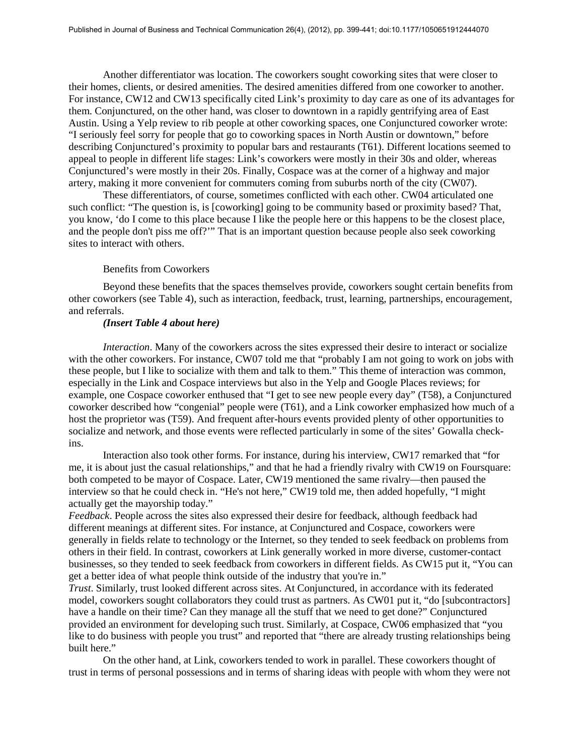Another differentiator was location. The coworkers sought coworking sites that were closer to their homes, clients, or desired amenities. The desired amenities differed from one coworker to another. For instance, CW12 and CW13 specifically cited Link's proximity to day care as one of its advantages for them. Conjunctured, on the other hand, was closer to downtown in a rapidly gentrifying area of East Austin. Using a Yelp review to rib people at other coworking spaces, one Conjunctured coworker wrote: "I seriously feel sorry for people that go to coworking spaces in North Austin or downtown," before describing Conjunctured's proximity to popular bars and restaurants (T61). Different locations seemed to appeal to people in different life stages: Link's coworkers were mostly in their 30s and older, whereas Conjunctured's were mostly in their 20s. Finally, Cospace was at the corner of a highway and major artery, making it more convenient for commuters coming from suburbs north of the city (CW07).

These differentiators, of course, sometimes conflicted with each other. CW04 articulated one such conflict: "The question is, is [coworking] going to be community based or proximity based? That, you know, 'do I come to this place because I like the people here or this happens to be the closest place, and the people don't piss me off?'" That is an important question because people also seek coworking sites to interact with others.

#### Benefits from Coworkers

Beyond these benefits that the spaces themselves provide, coworkers sought certain benefits from other coworkers (see Table 4), such as interaction, feedback, trust, learning, partnerships, encouragement, and referrals.

#### *(Insert Table 4 about here)*

*Interaction*. Many of the coworkers across the sites expressed their desire to interact or socialize with the other coworkers. For instance, CW07 told me that "probably I am not going to work on jobs with these people, but I like to socialize with them and talk to them." This theme of interaction was common, especially in the Link and Cospace interviews but also in the Yelp and Google Places reviews; for example, one Cospace coworker enthused that "I get to see new people every day" (T58), a Conjunctured coworker described how "congenial" people were (T61), and a Link coworker emphasized how much of a host the proprietor was (T59). And frequent after-hours events provided plenty of other opportunities to socialize and network, and those events were reflected particularly in some of the sites' Gowalla checkins.

Interaction also took other forms. For instance, during his interview, CW17 remarked that "for me, it is about just the casual relationships," and that he had a friendly rivalry with CW19 on Foursquare: both competed to be mayor of Cospace. Later, CW19 mentioned the same rivalry—then paused the interview so that he could check in. "He's not here," CW19 told me, then added hopefully, "I might actually get the mayorship today."

*Feedback*. People across the sites also expressed their desire for feedback, although feedback had different meanings at different sites. For instance, at Conjunctured and Cospace, coworkers were generally in fields relate to technology or the Internet, so they tended to seek feedback on problems from others in their field. In contrast, coworkers at Link generally worked in more diverse, customer-contact businesses, so they tended to seek feedback from coworkers in different fields. As CW15 put it, "You can get a better idea of what people think outside of the industry that you're in."

*Trust*. Similarly, trust looked different across sites. At Conjunctured, in accordance with its federated model, coworkers sought collaborators they could trust as partners. As CW01 put it, "do [subcontractors] have a handle on their time? Can they manage all the stuff that we need to get done?" Conjunctured provided an environment for developing such trust. Similarly, at Cospace, CW06 emphasized that "you like to do business with people you trust" and reported that "there are already trusting relationships being built here."

On the other hand, at Link, coworkers tended to work in parallel. These coworkers thought of trust in terms of personal possessions and in terms of sharing ideas with people with whom they were not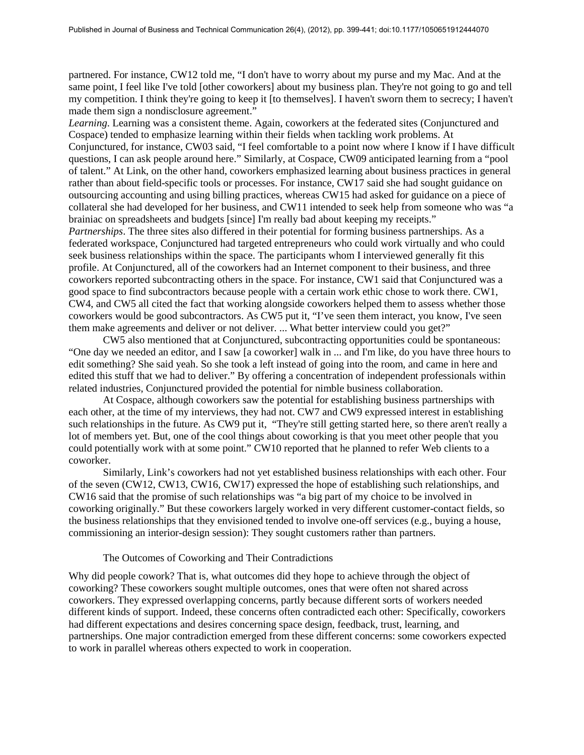partnered. For instance, CW12 told me, "I don't have to worry about my purse and my Mac. And at the same point, I feel like I've told [other coworkers] about my business plan. They're not going to go and tell my competition. I think they're going to keep it [to themselves]. I haven't sworn them to secrecy; I haven't made them sign a nondisclosure agreement."

*Learning*. Learning was a consistent theme. Again, coworkers at the federated sites (Conjunctured and Cospace) tended to emphasize learning within their fields when tackling work problems. At Conjunctured, for instance, CW03 said, "I feel comfortable to a point now where I know if I have difficult questions, I can ask people around here." Similarly, at Cospace, CW09 anticipated learning from a "pool of talent." At Link, on the other hand, coworkers emphasized learning about business practices in general rather than about field-specific tools or processes. For instance, CW17 said she had sought guidance on outsourcing accounting and using billing practices, whereas CW15 had asked for guidance on a piece of collateral she had developed for her business, and CW11 intended to seek help from someone who was "a brainiac on spreadsheets and budgets [since] I'm really bad about keeping my receipts." *Partnerships*. The three sites also differed in their potential for forming business partnerships. As a federated workspace, Conjunctured had targeted entrepreneurs who could work virtually and who could seek business relationships within the space. The participants whom I interviewed generally fit this profile. At Conjunctured, all of the coworkers had an Internet component to their business, and three coworkers reported subcontracting others in the space. For instance, CW1 said that Conjunctured was a good space to find subcontractors because people with a certain work ethic chose to work there. CW1, CW4, and CW5 all cited the fact that working alongside coworkers helped them to assess whether those coworkers would be good subcontractors. As CW5 put it, "I've seen them interact, you know, I've seen them make agreements and deliver or not deliver. ... What better interview could you get?"

CW5 also mentioned that at Conjunctured, subcontracting opportunities could be spontaneous: "One day we needed an editor, and I saw [a coworker] walk in ... and I'm like, do you have three hours to edit something? She said yeah. So she took a left instead of going into the room, and came in here and edited this stuff that we had to deliver." By offering a concentration of independent professionals within related industries, Conjunctured provided the potential for nimble business collaboration.

At Cospace, although coworkers saw the potential for establishing business partnerships with each other, at the time of my interviews, they had not. CW7 and CW9 expressed interest in establishing such relationships in the future. As CW9 put it, "They're still getting started here, so there aren't really a lot of members yet. But, one of the cool things about coworking is that you meet other people that you could potentially work with at some point." CW10 reported that he planned to refer Web clients to a coworker.

Similarly, Link's coworkers had not yet established business relationships with each other. Four of the seven (CW12, CW13, CW16, CW17) expressed the hope of establishing such relationships, and CW16 said that the promise of such relationships was "a big part of my choice to be involved in coworking originally." But these coworkers largely worked in very different customer-contact fields, so the business relationships that they envisioned tended to involve one-off services (e.g., buying a house, commissioning an interior-design session): They sought customers rather than partners.

#### The Outcomes of Coworking and Their Contradictions

Why did people cowork? That is, what outcomes did they hope to achieve through the object of coworking? These coworkers sought multiple outcomes, ones that were often not shared across coworkers. They expressed overlapping concerns, partly because different sorts of workers needed different kinds of support. Indeed, these concerns often contradicted each other: Specifically, coworkers had different expectations and desires concerning space design, feedback, trust, learning, and partnerships. One major contradiction emerged from these different concerns: some coworkers expected to work in parallel whereas others expected to work in cooperation.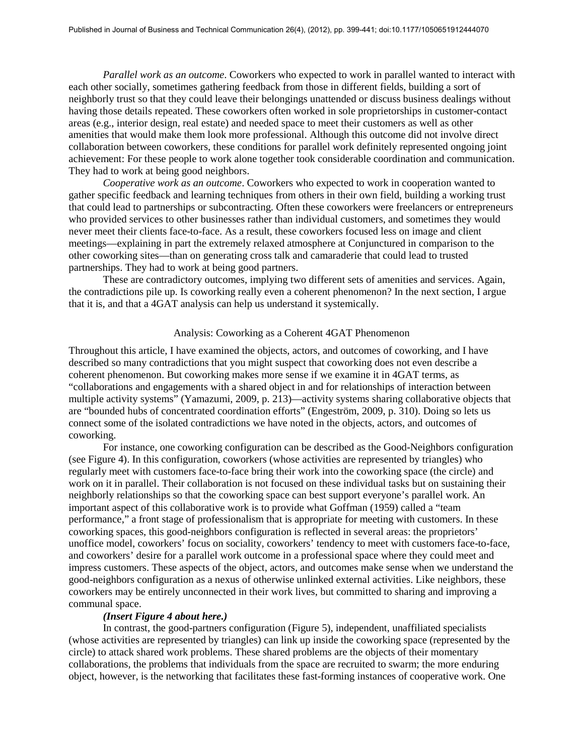*Parallel work as an outcome*. Coworkers who expected to work in parallel wanted to interact with each other socially, sometimes gathering feedback from those in different fields, building a sort of neighborly trust so that they could leave their belongings unattended or discuss business dealings without having those details repeated. These coworkers often worked in sole proprietorships in customer-contact areas (e.g., interior design, real estate) and needed space to meet their customers as well as other amenities that would make them look more professional. Although this outcome did not involve direct collaboration between coworkers, these conditions for parallel work definitely represented ongoing joint achievement: For these people to work alone together took considerable coordination and communication. They had to work at being good neighbors.

*Cooperative work as an outcome*. Coworkers who expected to work in cooperation wanted to gather specific feedback and learning techniques from others in their own field, building a working trust that could lead to partnerships or subcontracting. Often these coworkers were freelancers or entrepreneurs who provided services to other businesses rather than individual customers, and sometimes they would never meet their clients face-to-face. As a result, these coworkers focused less on image and client meetings—explaining in part the extremely relaxed atmosphere at Conjunctured in comparison to the other coworking sites—than on generating cross talk and camaraderie that could lead to trusted partnerships. They had to work at being good partners.

These are contradictory outcomes, implying two different sets of amenities and services. Again, the contradictions pile up. Is coworking really even a coherent phenomenon? In the next section, I argue that it is, and that a 4GAT analysis can help us understand it systemically.

#### Analysis: Coworking as a Coherent 4GAT Phenomenon

Throughout this article, I have examined the objects, actors, and outcomes of coworking, and I have described so many contradictions that you might suspect that coworking does not even describe a coherent phenomenon. But coworking makes more sense if we examine it in 4GAT terms, as "collaborations and engagements with a shared object in and for relationships of interaction between multiple activity systems" (Yamazumi, 2009, p. 213)—activity systems sharing collaborative objects that are "bounded hubs of concentrated coordination efforts" (Engeström, 2009, p. 310). Doing so lets us connect some of the isolated contradictions we have noted in the objects, actors, and outcomes of coworking.

For instance, one coworking configuration can be described as the Good-Neighbors configuration (see Figure 4). In this configuration, coworkers (whose activities are represented by triangles) who regularly meet with customers face-to-face bring their work into the coworking space (the circle) and work on it in parallel. Their collaboration is not focused on these individual tasks but on sustaining their neighborly relationships so that the coworking space can best support everyone's parallel work. An important aspect of this collaborative work is to provide what Goffman (1959) called a "team performance," a front stage of professionalism that is appropriate for meeting with customers. In these coworking spaces, this good-neighbors configuration is reflected in several areas: the proprietors' unoffice model, coworkers' focus on sociality, coworkers' tendency to meet with customers face-to-face, and coworkers' desire for a parallel work outcome in a professional space where they could meet and impress customers. These aspects of the object, actors, and outcomes make sense when we understand the good-neighbors configuration as a nexus of otherwise unlinked external activities. Like neighbors, these coworkers may be entirely unconnected in their work lives, but committed to sharing and improving a communal space.

# *(Insert Figure 4 about here.)*

In contrast, the good-partners configuration (Figure 5), independent, unaffiliated specialists (whose activities are represented by triangles) can link up inside the coworking space (represented by the circle) to attack shared work problems. These shared problems are the objects of their momentary collaborations, the problems that individuals from the space are recruited to swarm; the more enduring object, however, is the networking that facilitates these fast-forming instances of cooperative work. One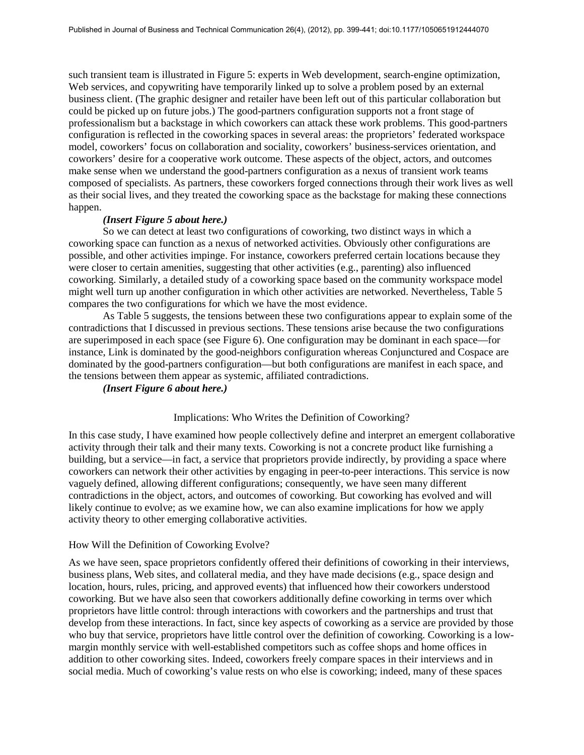such transient team is illustrated in Figure 5: experts in Web development, search-engine optimization, Web services, and copywriting have temporarily linked up to solve a problem posed by an external business client. (The graphic designer and retailer have been left out of this particular collaboration but could be picked up on future jobs.) The good-partners configuration supports not a front stage of professionalism but a backstage in which coworkers can attack these work problems. This good-partners configuration is reflected in the coworking spaces in several areas: the proprietors' federated workspace model, coworkers' focus on collaboration and sociality, coworkers' business-services orientation, and coworkers' desire for a cooperative work outcome. These aspects of the object, actors, and outcomes make sense when we understand the good-partners configuration as a nexus of transient work teams composed of specialists. As partners, these coworkers forged connections through their work lives as well as their social lives, and they treated the coworking space as the backstage for making these connections happen.

# *(Insert Figure 5 about here.)*

So we can detect at least two configurations of coworking, two distinct ways in which a coworking space can function as a nexus of networked activities. Obviously other configurations are possible, and other activities impinge. For instance, coworkers preferred certain locations because they were closer to certain amenities, suggesting that other activities (e.g., parenting) also influenced coworking. Similarly, a detailed study of a coworking space based on the community workspace model might well turn up another configuration in which other activities are networked. Nevertheless, Table 5 compares the two configurations for which we have the most evidence.

As Table 5 suggests, the tensions between these two configurations appear to explain some of the contradictions that I discussed in previous sections. These tensions arise because the two configurations are superimposed in each space (see Figure 6). One configuration may be dominant in each space—for instance, Link is dominated by the good-neighbors configuration whereas Conjunctured and Cospace are dominated by the good-partners configuration—but both configurations are manifest in each space, and the tensions between them appear as systemic, affiliated contradictions.

*(Insert Figure 6 about here.)* 

# Implications: Who Writes the Definition of Coworking?

In this case study, I have examined how people collectively define and interpret an emergent collaborative activity through their talk and their many texts. Coworking is not a concrete product like furnishing a building, but a service—in fact, a service that proprietors provide indirectly, by providing a space where coworkers can network their other activities by engaging in peer-to-peer interactions. This service is now vaguely defined, allowing different configurations; consequently, we have seen many different contradictions in the object, actors, and outcomes of coworking. But coworking has evolved and will likely continue to evolve; as we examine how, we can also examine implications for how we apply activity theory to other emerging collaborative activities.

# How Will the Definition of Coworking Evolve?

As we have seen, space proprietors confidently offered their definitions of coworking in their interviews, business plans, Web sites, and collateral media, and they have made decisions (e.g., space design and location, hours, rules, pricing, and approved events) that influenced how their coworkers understood coworking. But we have also seen that coworkers additionally define coworking in terms over which proprietors have little control: through interactions with coworkers and the partnerships and trust that develop from these interactions. In fact, since key aspects of coworking as a service are provided by those who buy that service, proprietors have little control over the definition of coworking. Coworking is a lowmargin monthly service with well-established competitors such as coffee shops and home offices in addition to other coworking sites. Indeed, coworkers freely compare spaces in their interviews and in social media. Much of coworking's value rests on who else is coworking; indeed, many of these spaces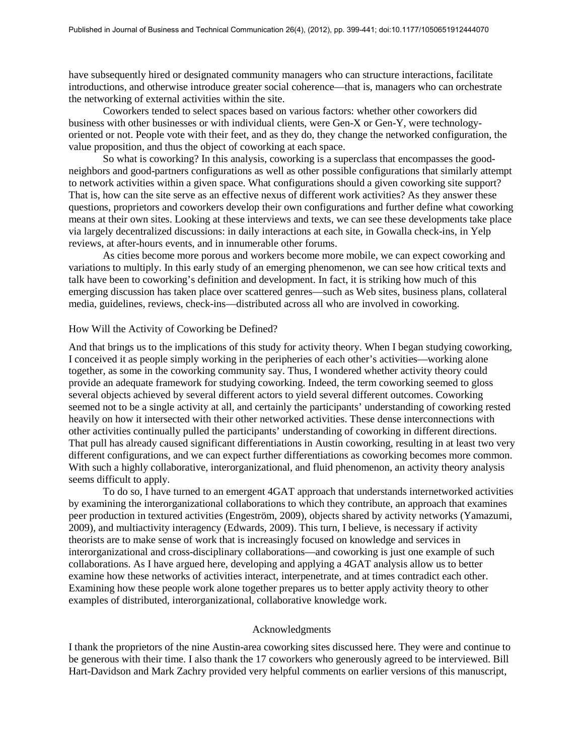have subsequently hired or designated community managers who can structure interactions, facilitate introductions, and otherwise introduce greater social coherence—that is, managers who can orchestrate the networking of external activities within the site.

Coworkers tended to select spaces based on various factors: whether other coworkers did business with other businesses or with individual clients, were Gen-X or Gen-Y, were technologyoriented or not. People vote with their feet, and as they do, they change the networked configuration, the value proposition, and thus the object of coworking at each space.

So what is coworking? In this analysis, coworking is a superclass that encompasses the goodneighbors and good-partners configurations as well as other possible configurations that similarly attempt to network activities within a given space. What configurations should a given coworking site support? That is, how can the site serve as an effective nexus of different work activities? As they answer these questions, proprietors and coworkers develop their own configurations and further define what coworking means at their own sites. Looking at these interviews and texts, we can see these developments take place via largely decentralized discussions: in daily interactions at each site, in Gowalla check-ins, in Yelp reviews, at after-hours events, and in innumerable other forums.

As cities become more porous and workers become more mobile, we can expect coworking and variations to multiply. In this early study of an emerging phenomenon, we can see how critical texts and talk have been to coworking's definition and development. In fact, it is striking how much of this emerging discussion has taken place over scattered genres—such as Web sites, business plans, collateral media, guidelines, reviews, check-ins—distributed across all who are involved in coworking.

#### How Will the Activity of Coworking be Defined?

And that brings us to the implications of this study for activity theory. When I began studying coworking, I conceived it as people simply working in the peripheries of each other's activities—working alone together, as some in the coworking community say. Thus, I wondered whether activity theory could provide an adequate framework for studying coworking. Indeed, the term coworking seemed to gloss several objects achieved by several different actors to yield several different outcomes. Coworking seemed not to be a single activity at all, and certainly the participants' understanding of coworking rested heavily on how it intersected with their other networked activities. These dense interconnections with other activities continually pulled the participants' understanding of coworking in different directions. That pull has already caused significant differentiations in Austin coworking, resulting in at least two very different configurations, and we can expect further differentiations as coworking becomes more common. With such a highly collaborative, interorganizational, and fluid phenomenon, an activity theory analysis seems difficult to apply.

 To do so, I have turned to an emergent 4GAT approach that understands internetworked activities by examining the interorganizational collaborations to which they contribute, an approach that examines peer production in textured activities (Engeström, 2009), objects shared by activity networks (Yamazumi, 2009), and multiactivity interagency (Edwards, 2009). This turn, I believe, is necessary if activity theorists are to make sense of work that is increasingly focused on knowledge and services in interorganizational and cross-disciplinary collaborations—and coworking is just one example of such collaborations. As I have argued here, developing and applying a 4GAT analysis allow us to better examine how these networks of activities interact, interpenetrate, and at times contradict each other. Examining how these people work alone together prepares us to better apply activity theory to other examples of distributed, interorganizational, collaborative knowledge work.

# Acknowledgments

I thank the proprietors of the nine Austin-area coworking sites discussed here. They were and continue to be generous with their time. I also thank the 17 coworkers who generously agreed to be interviewed. Bill Hart-Davidson and Mark Zachry provided very helpful comments on earlier versions of this manuscript,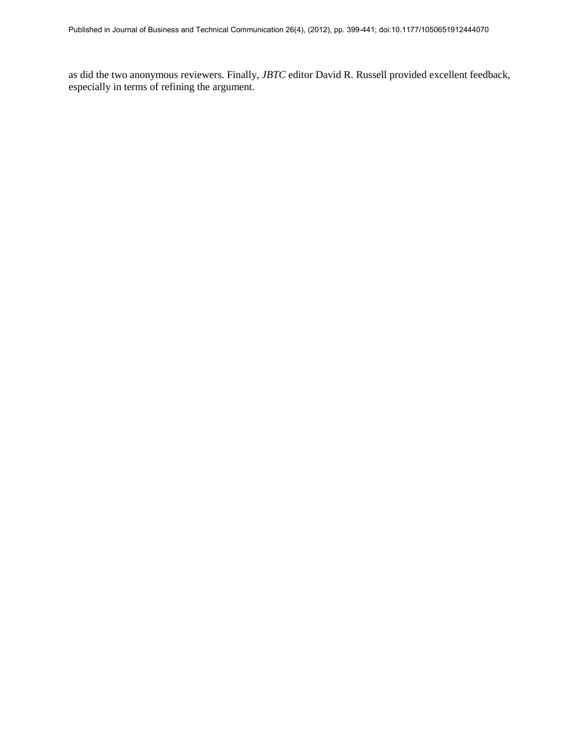as did the two anonymous reviewers. Finally, *JBTC* editor David R. Russell provided excellent feedback, especially in terms of refining the argument.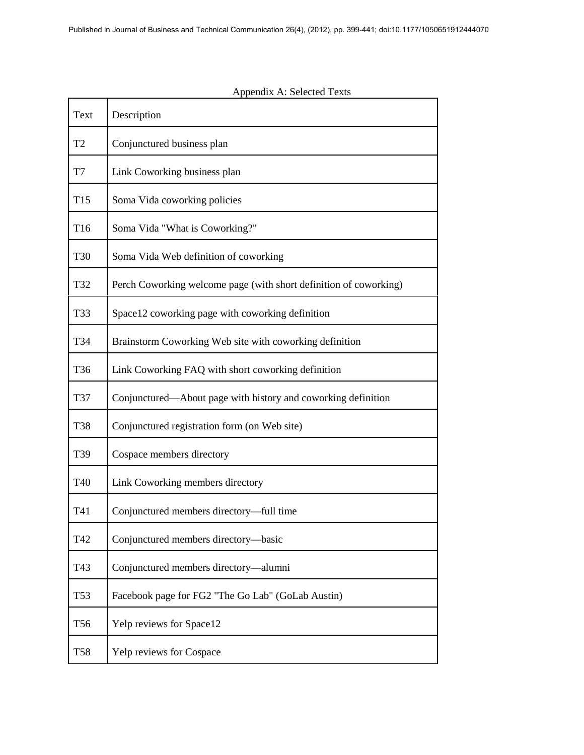|                 | Appendix A: Selected Texts                                        |
|-----------------|-------------------------------------------------------------------|
| Text            | Description                                                       |
| T <sub>2</sub>  | Conjunctured business plan                                        |
| T7              | Link Coworking business plan                                      |
| T <sub>15</sub> | Soma Vida coworking policies                                      |
| T16             | Soma Vida "What is Coworking?"                                    |
| <b>T30</b>      | Soma Vida Web definition of coworking                             |
| T32             | Perch Coworking welcome page (with short definition of coworking) |
| T33             | Space12 coworking page with coworking definition                  |
| T34             | Brainstorm Coworking Web site with coworking definition           |
| T36             | Link Coworking FAQ with short coworking definition                |
| T37             | Conjunctured—About page with history and coworking definition     |
| <b>T38</b>      | Conjunctured registration form (on Web site)                      |
| T39             | Cospace members directory                                         |
| T40             | Link Coworking members directory                                  |
| T41             | Conjunctured members directory—full time                          |
| T42             | Conjunctured members directory-basic                              |
| T43             | Conjunctured members directory—alumni                             |
| T <sub>53</sub> | Facebook page for FG2 "The Go Lab" (GoLab Austin)                 |
| T <sub>56</sub> | Yelp reviews for Space12                                          |
| <b>T58</b>      | Yelp reviews for Cospace                                          |

# $A$  properties  $A:$  Selected  $T<sub>z</sub>$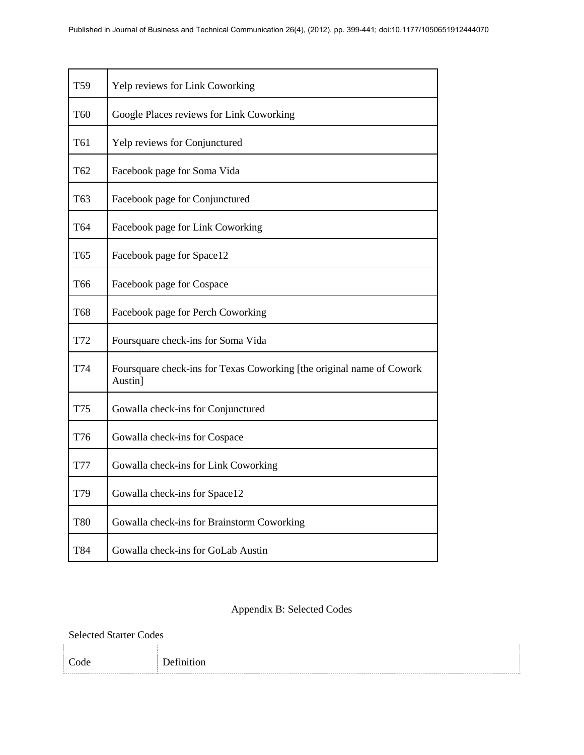| T59             | Yelp reviews for Link Coworking                                                  |
|-----------------|----------------------------------------------------------------------------------|
| T <sub>60</sub> | Google Places reviews for Link Coworking                                         |
| T61             | Yelp reviews for Conjunctured                                                    |
| T62             | Facebook page for Soma Vida                                                      |
| T63             | Facebook page for Conjunctured                                                   |
| T64             | Facebook page for Link Coworking                                                 |
| T65             | Facebook page for Space12                                                        |
| T66             | Facebook page for Cospace                                                        |
| <b>T68</b>      | Facebook page for Perch Coworking                                                |
| T72             | Foursquare check-ins for Soma Vida                                               |
| T74             | Foursquare check-ins for Texas Coworking [the original name of Cowork<br>Austin] |
| T75             | Gowalla check-ins for Conjunctured                                               |
| T76             | Gowalla check-ins for Cospace                                                    |
| <b>T77</b>      | Gowalla check-ins for Link Coworking                                             |
| T79             | Gowalla check-ins for Space12                                                    |
| T80             | Gowalla check-ins for Brainstorm Coworking                                       |
| T84             | Gowalla check-ins for GoLab Austin                                               |

# Appendix B: Selected Codes

Selected Starter Codes

| ΙC |
|----|
|    |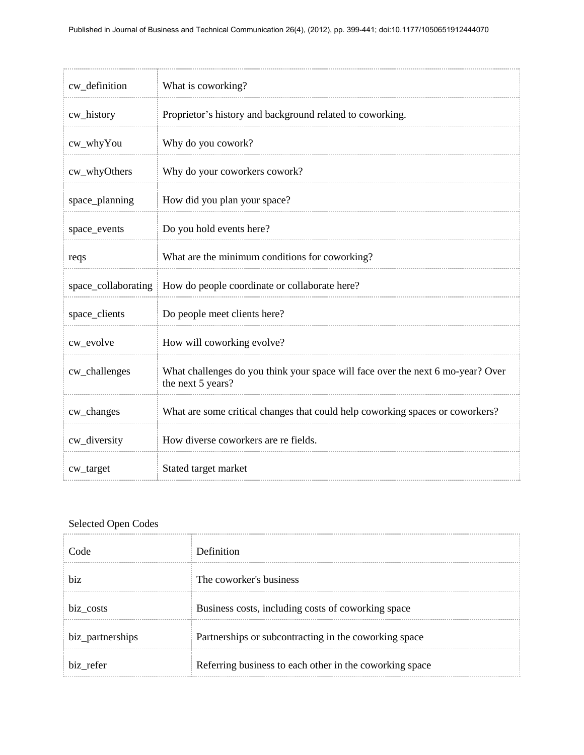| cw_definition       | What is coworking?                                                                                   |
|---------------------|------------------------------------------------------------------------------------------------------|
| cw_history          | Proprietor's history and background related to coworking.                                            |
| cw_whyYou           | Why do you cowork?                                                                                   |
| cw_whyOthers        | Why do your coworkers cowork?                                                                        |
| space_planning      | How did you plan your space?                                                                         |
| space_events        | Do you hold events here?                                                                             |
| reqs                | What are the minimum conditions for coworking?                                                       |
| space_collaborating | How do people coordinate or collaborate here?                                                        |
| space_clients       | Do people meet clients here?                                                                         |
| cw_evolve           | How will coworking evolve?                                                                           |
| cw_challenges       | What challenges do you think your space will face over the next 6 mo-year? Over<br>the next 5 years? |
| cw_changes          | What are some critical changes that could help coworking spaces or coworkers?                        |
| cw_diversity        | How diverse coworkers are re fields.                                                                 |
| cw_target           | Stated target market                                                                                 |

# Selected Open Codes

| Code             | Definition                                              |
|------------------|---------------------------------------------------------|
| biz              | The coworker's business                                 |
| biz_costs        | Business costs, including costs of coworking space      |
| biz_partnerships | Partnerships or subcontracting in the coworking space   |
| biz refer        | Referring business to each other in the coworking space |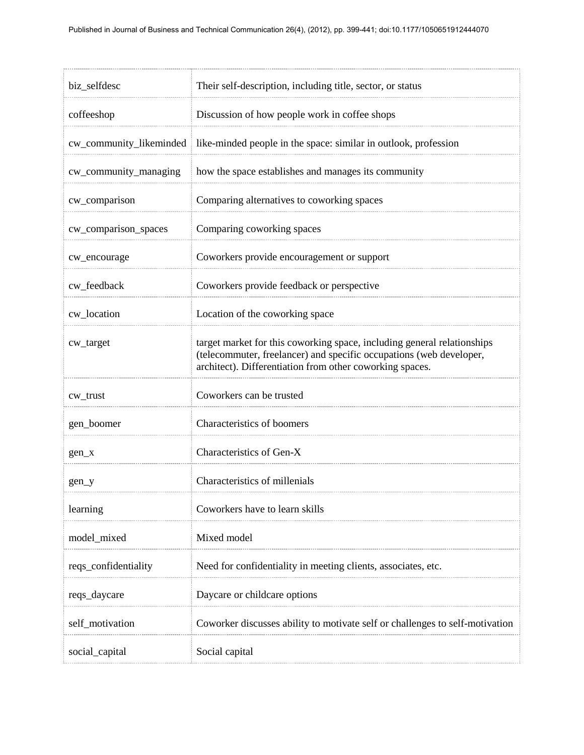| biz_selfdesc            | Their self-description, including title, sector, or status                                                                                                                                                 |  |
|-------------------------|------------------------------------------------------------------------------------------------------------------------------------------------------------------------------------------------------------|--|
| coffeeshop              | Discussion of how people work in coffee shops                                                                                                                                                              |  |
| cw_community_likeminded | like-minded people in the space: similar in outlook, profession                                                                                                                                            |  |
| cw_community_managing   | how the space establishes and manages its community                                                                                                                                                        |  |
| cw_comparison           | Comparing alternatives to coworking spaces                                                                                                                                                                 |  |
| cw_comparison_spaces    | Comparing coworking spaces                                                                                                                                                                                 |  |
| cw_encourage            | Coworkers provide encouragement or support                                                                                                                                                                 |  |
| cw_feedback             | Coworkers provide feedback or perspective                                                                                                                                                                  |  |
| cw_location             | Location of the coworking space                                                                                                                                                                            |  |
| cw_target               | target market for this coworking space, including general relationships<br>(telecommuter, freelancer) and specific occupations (web developer,<br>architect). Differentiation from other coworking spaces. |  |
| cw_trust                | Coworkers can be trusted                                                                                                                                                                                   |  |
| gen_boomer              | Characteristics of boomers                                                                                                                                                                                 |  |
| $gen_x$                 | Characteristics of Gen-X                                                                                                                                                                                   |  |
| gen_y                   | Characteristics of millenials                                                                                                                                                                              |  |
| learning                | Coworkers have to learn skills                                                                                                                                                                             |  |
| model_mixed             | Mixed model                                                                                                                                                                                                |  |
| reqs_confidentiality    | Need for confidentiality in meeting clients, associates, etc.                                                                                                                                              |  |
| reqs_daycare            | Daycare or childcare options                                                                                                                                                                               |  |
| self_motivation         | Coworker discusses ability to motivate self or challenges to self-motivation                                                                                                                               |  |
| social_capital          | Social capital                                                                                                                                                                                             |  |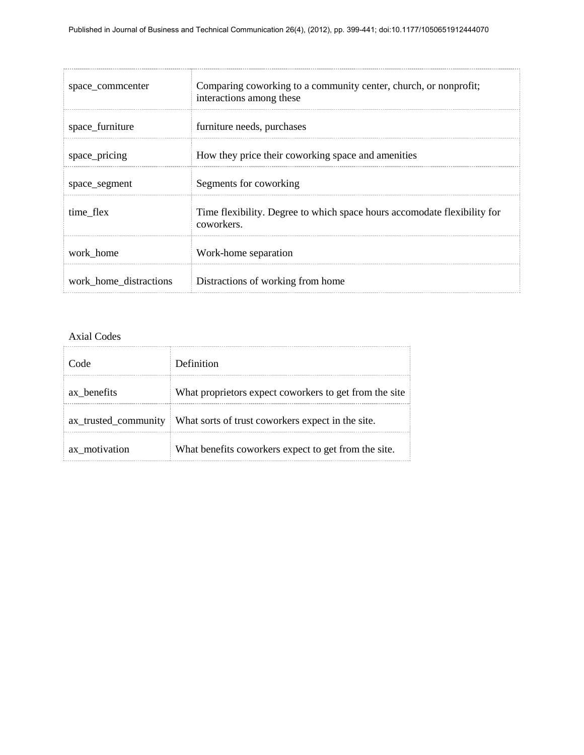| space_commcenter       | Comparing coworking to a community center, church, or nonprofit;<br>interactions among these |
|------------------------|----------------------------------------------------------------------------------------------|
| space_furniture        | furniture needs, purchases                                                                   |
| space_pricing          | How they price their coworking space and amenities                                           |
| space_segment          | Segments for coworking                                                                       |
| time_flex              | Time flexibility. Degree to which space hours accomodate flexibility for<br>coworkers.       |
| work home              | Work-home separation                                                                         |
| work home distractions | Distractions of working from home                                                            |

# Axial Codes

| Code          | Definition                                                               |
|---------------|--------------------------------------------------------------------------|
| ax_benefits   | What proprietors expect coworkers to get from the site                   |
|               | ax_trusted_community   What sorts of trust coworkers expect in the site. |
| ax motivation | What benefits coworkers expect to get from the site.                     |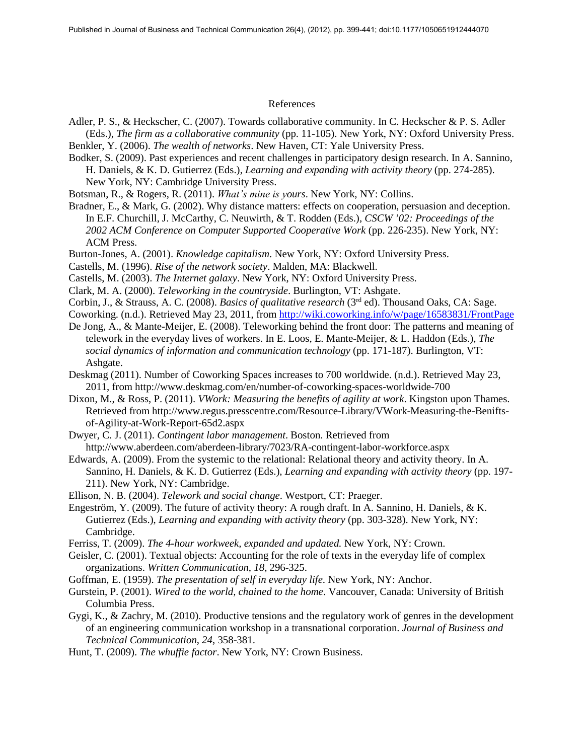#### References

Adler, P. S., & Heckscher, C. (2007). Towards collaborative community. In C. Heckscher & P. S. Adler (Eds.), *The firm as a collaborative community* (pp. 11-105). New York, NY: Oxford University Press.

- Benkler, Y. (2006). *The wealth of networks*. New Haven, CT: Yale University Press.
- Bodker, S. (2009). Past experiences and recent challenges in participatory design research. In A. Sannino, H. Daniels, & K. D. Gutierrez (Eds.), *Learning and expanding with activity theory* (pp. 274-285). New York, NY: Cambridge University Press.

Botsman, R., & Rogers, R. (2011). *What's mine is yours*. New York, NY: Collins.

Bradner, E., & Mark, G. (2002). Why distance matters: effects on cooperation, persuasion and deception. In E.F. Churchill, J. McCarthy, C. Neuwirth, & T. Rodden (Eds.), *CSCW '02: Proceedings of the 2002 ACM Conference on Computer Supported Cooperative Work* (pp. 226-235). New York, NY: ACM Press.

Burton-Jones, A. (2001). *Knowledge capitalism*. New York, NY: Oxford University Press.

Castells, M. (1996). *Rise of the network society*. Malden, MA: Blackwell.

- Castells, M. (2003). *The Internet galaxy*. New York, NY: Oxford University Press.
- Clark, M. A. (2000). *Teleworking in the countryside*. Burlington, VT: Ashgate.
- Corbin, J., & Strauss, A. C. (2008). *Basics of qualitative research* (3rd ed). Thousand Oaks, CA: Sage.

Coworking. (n.d.). Retrieved May 23, 2011, from<http://wiki.coworking.info/w/page/16583831/FrontPage>

De Jong, A., & Mante-Meijer, E. (2008). Teleworking behind the front door: The patterns and meaning of telework in the everyday lives of workers. In E. Loos, E. Mante-Meijer, & L. Haddon (Eds.), *The social dynamics of information and communication technology* (pp. 171-187). Burlington, VT: Ashgate.

- Deskmag (2011). Number of Coworking Spaces increases to 700 worldwide. (n.d.). Retrieved May 23, 2011, from http://www.deskmag.com/en/number-of-coworking-spaces-worldwide-700
- Dixon, M., & Ross, P. (2011). *VWork: Measuring the benefits of agility at work*. Kingston upon Thames. Retrieved from http://www.regus.presscentre.com/Resource-Library/VWork-Measuring-the-Beniftsof-Agility-at-Work-Report-65d2.aspx
- Dwyer, C. J. (2011). *Contingent labor management*. Boston. Retrieved from http://www.aberdeen.com/aberdeen-library/7023/RA-contingent-labor-workforce.aspx
- Edwards, A. (2009). From the systemic to the relational: Relational theory and activity theory. In A. Sannino, H. Daniels, & K. D. Gutierrez (Eds.), *Learning and expanding with activity theory* (pp. 197- 211). New York, NY: Cambridge.
- Ellison, N. B. (2004). *Telework and social change*. Westport, CT: Praeger.
- Engeström, Y. (2009). The future of activity theory: A rough draft. In A. Sannino, H. Daniels, & K. Gutierrez (Eds.), *Learning and expanding with activity theory* (pp. 303-328). New York, NY: Cambridge.
- Ferriss, T. (2009). *The 4-hour workweek, expanded and updated.* New York, NY: Crown.
- Geisler, C. (2001). Textual objects: Accounting for the role of texts in the everyday life of complex organizations. *Written Communication*, *18*, 296-325.
- Goffman, E. (1959). *The presentation of self in everyday life*. New York, NY: Anchor.
- Gurstein, P. (2001). *Wired to the world, chained to the home*. Vancouver, Canada: University of British Columbia Press.
- Gygi, K., & Zachry, M. (2010). Productive tensions and the regulatory work of genres in the development of an engineering communication workshop in a transnational corporation. *Journal of Business and Technical Communication*, *24*, 358-381.
- Hunt, T. (2009). *The whuffie factor*. New York, NY: Crown Business.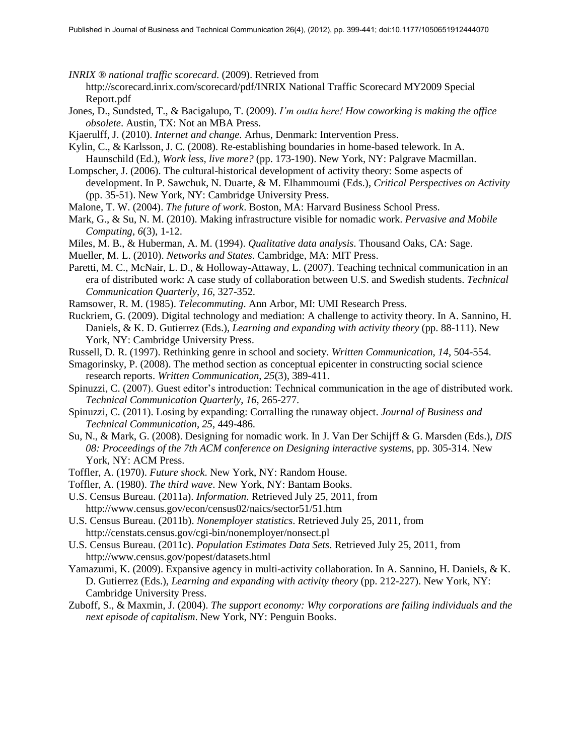- *INRIX ® national traffic scorecard*. (2009). Retrieved from http://scorecard.inrix.com/scorecard/pdf/INRIX National Traffic Scorecard MY2009 Special Report.pdf
- Jones, D., Sundsted, T., & Bacigalupo, T. (2009). *I'm outta here! How coworking is making the office obsolete*. Austin, TX: Not an MBA Press.
- Kjaerulff, J. (2010). *Internet and change*. Arhus, Denmark: Intervention Press.
- Kylin, C., & Karlsson, J. C. (2008). Re-establishing boundaries in home-based telework. In A. Haunschild (Ed.), *Work less, live more?* (pp. 173-190). New York, NY: Palgrave Macmillan.
- Lompscher, J. (2006). The cultural-historical development of activity theory: Some aspects of development. In P. Sawchuk, N. Duarte, & M. Elhammoumi (Eds.), *Critical Perspectives on Activity* (pp. 35-51). New York, NY: Cambridge University Press.
- Malone, T. W. (2004). *The future of work*. Boston, MA: Harvard Business School Press.
- Mark, G., & Su, N. M. (2010). Making infrastructure visible for nomadic work. *Pervasive and Mobile Computing*, *6*(3), 1-12.
- Miles, M. B., & Huberman, A. M. (1994). *Qualitative data analysis*. Thousand Oaks, CA: Sage.
- Mueller, M. L. (2010). *Networks and States*. Cambridge, MA: MIT Press.
- Paretti, M. C., McNair, L. D., & Holloway-Attaway, L. (2007). Teaching technical communication in an era of distributed work: A case study of collaboration between U.S. and Swedish students. *Technical Communication Quarterly*, *16*, 327-352.
- Ramsower, R. M. (1985). *Telecommuting*. Ann Arbor, MI: UMI Research Press.
- Ruckriem, G. (2009). Digital technology and mediation: A challenge to activity theory. In A. Sannino, H. Daniels, & K. D. Gutierrez (Eds.), *Learning and expanding with activity theory* (pp. 88-111). New York, NY: Cambridge University Press.
- Russell, D. R. (1997). Rethinking genre in school and society. *Written Communication*, *14*, 504-554.
- Smagorinsky, P. (2008). The method section as conceptual epicenter in constructing social science research reports. *Written Communication*, *25*(3), 389-411.
- Spinuzzi, C. (2007). Guest editor's introduction: Technical communication in the age of distributed work. *Technical Communication Quarterly*, *16*, 265-277.
- Spinuzzi, C. (2011). Losing by expanding: Corralling the runaway object. *Journal of Business and Technical Communication*, *25*, 449-486.
- Su, N., & Mark, G. (2008). Designing for nomadic work. In J. Van Der Schijff & G. Marsden (Eds.), *DIS 08: Proceedings of the 7th ACM conference on Designing interactive systems*, pp. 305-314. New York, NY: ACM Press.
- Toffler, A. (1970). *Future shock*. New York, NY: Random House.
- Toffler, A. (1980). *The third wave*. New York, NY: Bantam Books.
- U.S. Census Bureau. (2011a). *Information*. Retrieved July 25, 2011, from http://www.census.gov/econ/census02/naics/sector51/51.htm
- U.S. Census Bureau. (2011b). *Nonemployer statistics*. Retrieved July 25, 2011, from http://censtats.census.gov/cgi-bin/nonemployer/nonsect.pl
- U.S. Census Bureau. (2011c). *Population Estimates Data Sets*. Retrieved July 25, 2011, from http://www.census.gov/popest/datasets.html
- Yamazumi, K. (2009). Expansive agency in multi-activity collaboration. In A. Sannino, H. Daniels, & K. D. Gutierrez (Eds.), *Learning and expanding with activity theory* (pp. 212-227). New York, NY: Cambridge University Press.
- Zuboff, S., & Maxmin, J. (2004). *The support economy: Why corporations are failing individuals and the next episode of capitalism*. New York, NY: Penguin Books.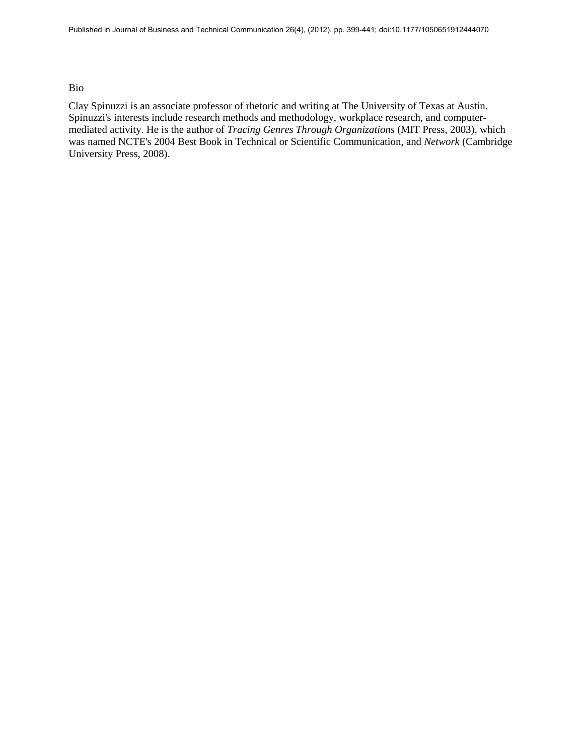Bio

Clay Spinuzzi is an associate professor of rhetoric and writing at The University of Texas at Austin. Spinuzzi's interests include research methods and methodology, workplace research, and computermediated activity. He is the author of *Tracing Genres Through Organizations* (MIT Press, 2003), which was named NCTE's 2004 Best Book in Technical or Scientific Communication, and *Network* (Cambridge University Press, 2008).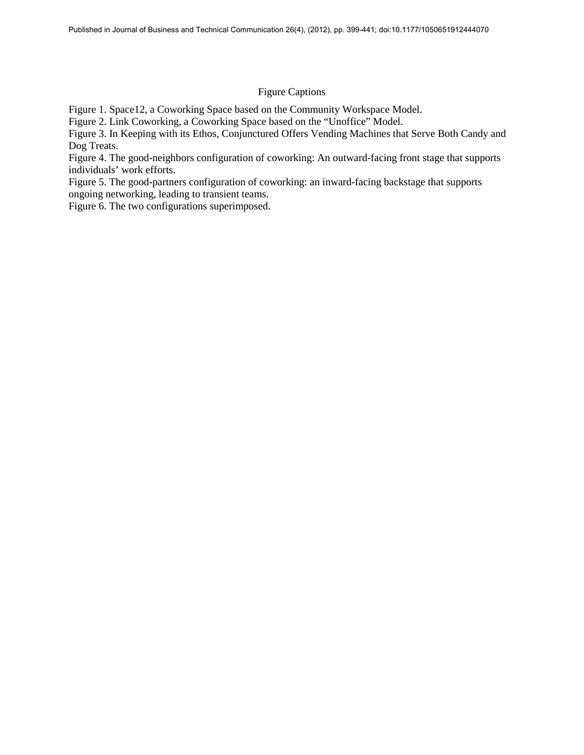# Figure Captions

Figure 1. Space12, a Coworking Space based on the Community Workspace Model.

Figure 2. Link Coworking, a Coworking Space based on the "Unoffice" Model.

Figure 3. In Keeping with its Ethos, Conjunctured Offers Vending Machines that Serve Both Candy and Dog Treats.

Figure 4. The good-neighbors configuration of coworking: An outward-facing front stage that supports individuals' work efforts.

Figure 5. The good-partners configuration of coworking: an inward-facing backstage that supports ongoing networking, leading to transient teams.

Figure 6. The two configurations superimposed.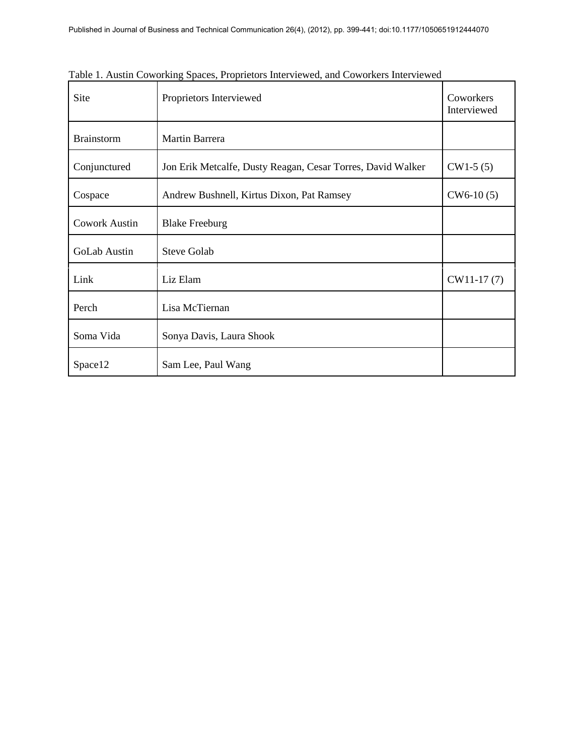| Site<br>Proprietors Interviewed |                                                             | Coworkers<br>Interviewed |
|---------------------------------|-------------------------------------------------------------|--------------------------|
| <b>Brainstorm</b>               | Martin Barrera                                              |                          |
| Conjunctured                    | Jon Erik Metcalfe, Dusty Reagan, Cesar Torres, David Walker | $CW1-5(5)$               |
| Cospace                         | Andrew Bushnell, Kirtus Dixon, Pat Ramsey                   | $CW6-10(5)$              |
| <b>Cowork Austin</b>            | <b>Blake Freeburg</b>                                       |                          |
| <b>GoLab Austin</b>             | <b>Steve Golab</b>                                          |                          |
| Link                            | Liz Elam                                                    | $CW11-17(7)$             |
| Perch                           | Lisa McTiernan                                              |                          |
| Soma Vida                       | Sonya Davis, Laura Shook                                    |                          |
| Space12                         | Sam Lee, Paul Wang                                          |                          |

Table 1. Austin Coworking Spaces, Proprietors Interviewed, and Coworkers Interviewed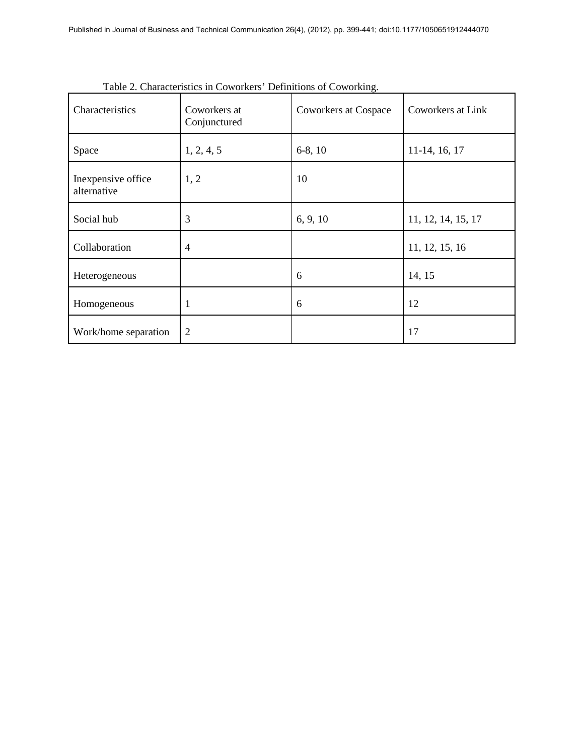| Characteristics                   | Coworkers at<br>Conjunctured | Ο.<br>Coworkers at Cospace | Coworkers at Link  |
|-----------------------------------|------------------------------|----------------------------|--------------------|
| Space                             | 1, 2, 4, 5                   | $6-8, 10$                  | 11-14, 16, 17      |
| Inexpensive office<br>alternative | 1, 2                         | 10                         |                    |
| Social hub                        | 3                            | 6, 9, 10                   | 11, 12, 14, 15, 17 |
| Collaboration                     | $\overline{4}$               |                            | 11, 12, 15, 16     |
| Heterogeneous                     |                              | 6                          | 14, 15             |
| Homogeneous                       | 1                            | 6                          | 12                 |
| Work/home separation              | $\overline{2}$               |                            | 17                 |

Table 2. Characteristics in Coworkers' Definitions of Coworking.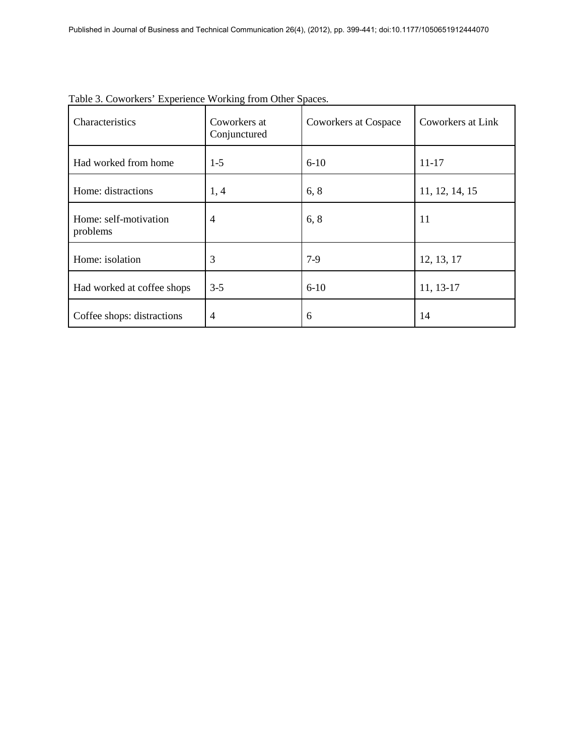| Characteristics                   | Coworkers at<br>Conjunctured | Coworkers at Cospace | Coworkers at Link |
|-----------------------------------|------------------------------|----------------------|-------------------|
| Had worked from home              | $1-5$                        | $6-10$               | 11-17             |
| Home: distractions                | 1, 4                         | 6, 8                 | 11, 12, 14, 15    |
| Home: self-motivation<br>problems | $\overline{4}$               | 6, 8                 | 11                |
| Home: isolation                   | 3                            | $7-9$                | 12, 13, 17        |
| Had worked at coffee shops        | $3 - 5$                      | $6-10$               | 11, 13-17         |
| Coffee shops: distractions        | $\overline{4}$               | 6                    | 14                |

Table 3. Coworkers' Experience Working from Other Spaces.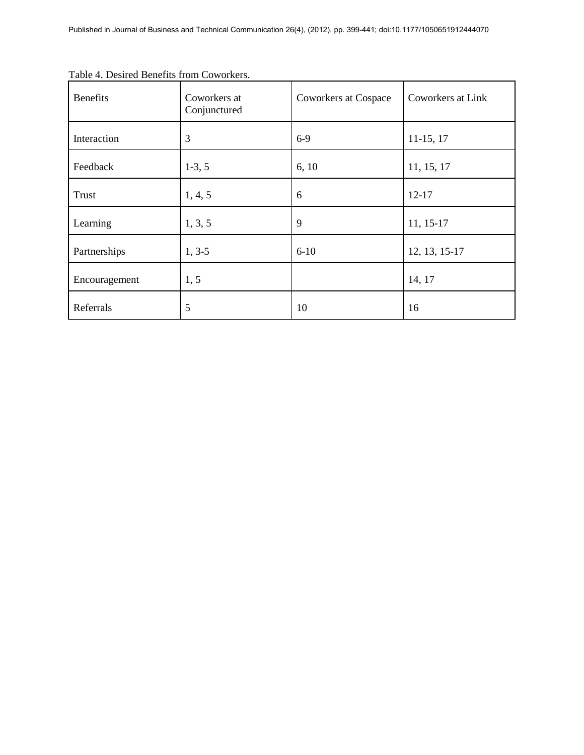| <b>Benefits</b> | Coworkers at<br>Conjunctured | Coworkers at Cospace | Coworkers at Link |
|-----------------|------------------------------|----------------------|-------------------|
| Interaction     | 3                            | $6-9$                | $11-15, 17$       |
| Feedback        | $1-3, 5$                     | 6, 10                | 11, 15, 17        |
| Trust           | 1, 4, 5                      | 6                    | $12 - 17$         |
| Learning        | 1, 3, 5                      | 9                    | 11, 15-17         |
| Partnerships    | $1, 3-5$                     | $6 - 10$             | 12, 13, 15-17     |
| Encouragement   | 1, 5                         |                      | 14, 17            |
| Referrals       | 5                            | 10                   | 16                |

Table 4. Desired Benefits from Coworkers.